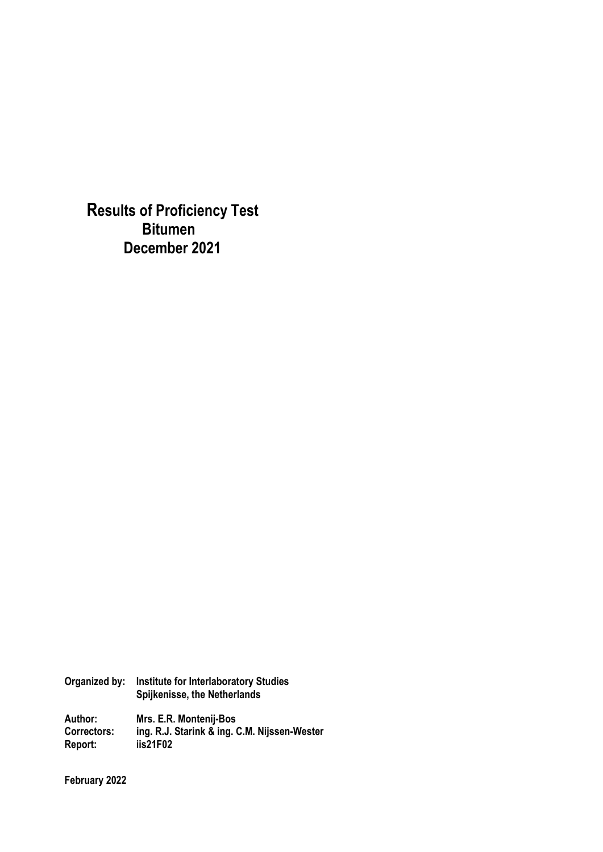**Results of Proficiency Test Bitumen December 2021** 

**Organized by: Institute for Interlaboratory Studies Spijkenisse, the Netherlands Author: Mrs. E.R. Montenij-Bos** 

**Correctors: ing. R.J. Starink & ing. C.M. Nijssen-Wester Report: iis21F02**

**February 2022**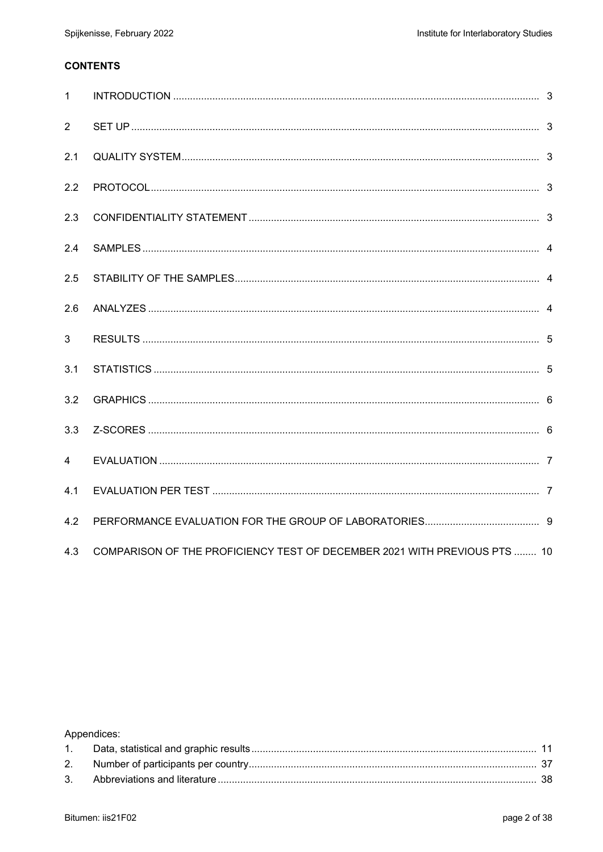## **CONTENTS**

| $\mathbf{1}$   |                                                                           |  |
|----------------|---------------------------------------------------------------------------|--|
| 2              |                                                                           |  |
| 2.1            |                                                                           |  |
| 2.2            |                                                                           |  |
| 2.3            |                                                                           |  |
| 2.4            |                                                                           |  |
| 2.5            |                                                                           |  |
| 2.6            |                                                                           |  |
| $\mathbf{3}$   |                                                                           |  |
| 3.1            |                                                                           |  |
| 3.2            |                                                                           |  |
| 3.3            |                                                                           |  |
| $\overline{4}$ |                                                                           |  |
| 4.1            |                                                                           |  |
| 4.2            |                                                                           |  |
| 4.3            | COMPARISON OF THE PROFICIENCY TEST OF DECEMBER 2021 WITH PREVIOUS PTS  10 |  |

## Appendices: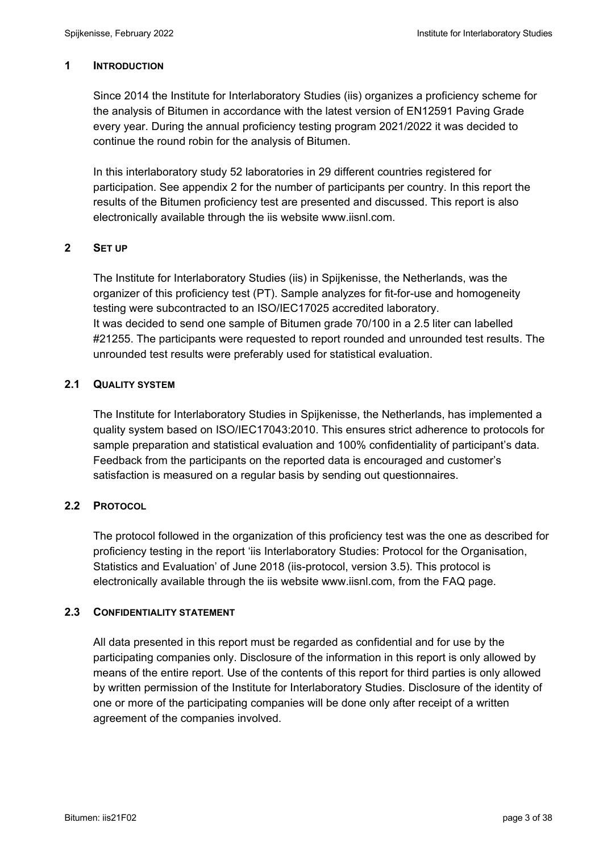### **1 INTRODUCTION**

Since 2014 the Institute for Interlaboratory Studies (iis) organizes a proficiency scheme for the analysis of Bitumen in accordance with the latest version of EN12591 Paving Grade every year. During the annual proficiency testing program 2021/2022 it was decided to continue the round robin for the analysis of Bitumen.

In this interlaboratory study 52 laboratories in 29 different countries registered for participation. See appendix 2 for the number of participants per country. In this report the results of the Bitumen proficiency test are presented and discussed. This report is also electronically available through the iis website www.iisnl.com.

### **2 SET UP**

The Institute for Interlaboratory Studies (iis) in Spijkenisse, the Netherlands, was the organizer of this proficiency test (PT). Sample analyzes for fit-for-use and homogeneity testing were subcontracted to an ISO/IEC17025 accredited laboratory. It was decided to send one sample of Bitumen grade 70/100 in a 2.5 liter can labelled #21255. The participants were requested to report rounded and unrounded test results. The unrounded test results were preferably used for statistical evaluation.

### **2.1 QUALITY SYSTEM**

The Institute for Interlaboratory Studies in Spijkenisse, the Netherlands, has implemented a quality system based on ISO/IEC17043:2010. This ensures strict adherence to protocols for sample preparation and statistical evaluation and 100% confidentiality of participant's data. Feedback from the participants on the reported data is encouraged and customer's satisfaction is measured on a regular basis by sending out questionnaires.

## **2.2 PROTOCOL**

The protocol followed in the organization of this proficiency test was the one as described for proficiency testing in the report 'iis Interlaboratory Studies: Protocol for the Organisation, Statistics and Evaluation' of June 2018 (iis-protocol, version 3.5). This protocol is electronically available through the iis website www.iisnl.com, from the FAQ page.

### **2.3 CONFIDENTIALITY STATEMENT**

All data presented in this report must be regarded as confidential and for use by the participating companies only. Disclosure of the information in this report is only allowed by means of the entire report. Use of the contents of this report for third parties is only allowed by written permission of the Institute for Interlaboratory Studies. Disclosure of the identity of one or more of the participating companies will be done only after receipt of a written agreement of the companies involved.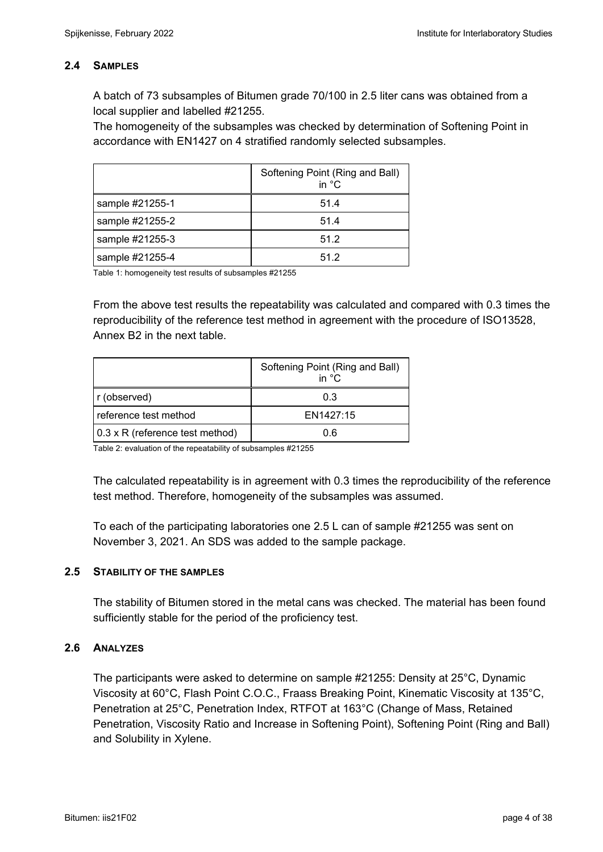### **2.4 SAMPLES**

A batch of 73 subsamples of Bitumen grade 70/100 in 2.5 liter cans was obtained from a local supplier and labelled #21255.

The homogeneity of the subsamples was checked by determination of Softening Point in accordance with EN1427 on 4 stratified randomly selected subsamples.

|                 | Softening Point (Ring and Ball)<br>in $^{\circ}$ C |
|-----------------|----------------------------------------------------|
| sample #21255-1 | 51.4                                               |
| sample #21255-2 | 51.4                                               |
| sample #21255-3 | 51.2                                               |
| sample #21255-4 | 512                                                |

Table 1: homogeneity test results of subsamples #21255

From the above test results the repeatability was calculated and compared with 0.3 times the reproducibility of the reference test method in agreement with the procedure of ISO13528, Annex B2 in the next table.

|                                 | Softening Point (Ring and Ball)<br>in $^{\circ}$ C. |
|---------------------------------|-----------------------------------------------------|
| r (observed)                    | 0.3                                                 |
| reference test method           | EN1427:15                                           |
| 0.3 x R (reference test method) | ០ 6                                                 |

Table 2: evaluation of the repeatability of subsamples #21255

The calculated repeatability is in agreement with 0.3 times the reproducibility of the reference test method. Therefore, homogeneity of the subsamples was assumed.

To each of the participating laboratories one 2.5 L can of sample #21255 was sent on November 3, 2021. An SDS was added to the sample package.

## **2.5 STABILITY OF THE SAMPLES**

The stability of Bitumen stored in the metal cans was checked. The material has been found sufficiently stable for the period of the proficiency test.

## **2.6 ANALYZES**

The participants were asked to determine on sample #21255: Density at 25°C, Dynamic Viscosity at 60°C, Flash Point C.O.C., Fraass Breaking Point, Kinematic Viscosity at 135°C, Penetration at 25°C, Penetration Index, RTFOT at 163°C (Change of Mass, Retained Penetration, Viscosity Ratio and Increase in Softening Point), Softening Point (Ring and Ball) and Solubility in Xylene.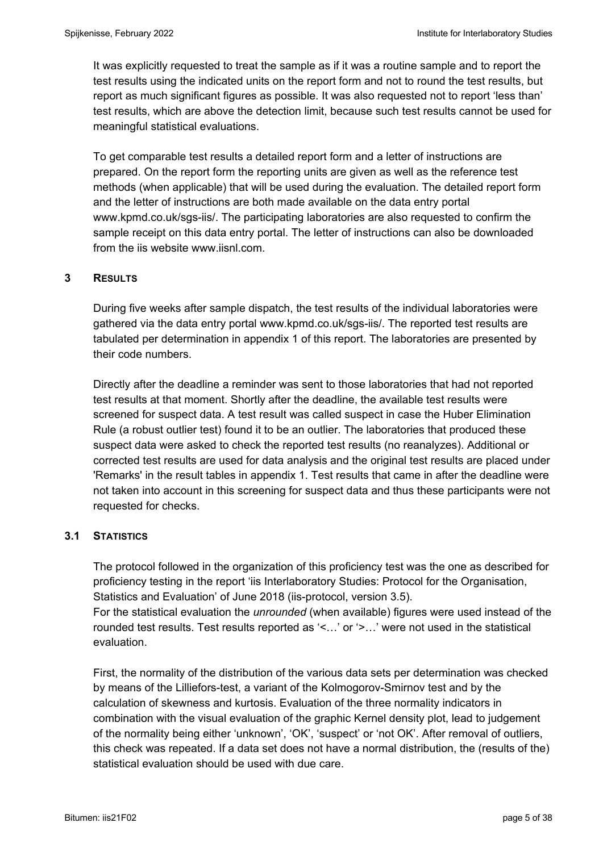It was explicitly requested to treat the sample as if it was a routine sample and to report the test results using the indicated units on the report form and not to round the test results, but report as much significant figures as possible. It was also requested not to report 'less than' test results, which are above the detection limit, because such test results cannot be used for meaningful statistical evaluations.

To get comparable test results a detailed report form and a letter of instructions are prepared. On the report form the reporting units are given as well as the reference test methods (when applicable) that will be used during the evaluation. The detailed report form and the letter of instructions are both made available on the data entry portal www.kpmd.co.uk/sgs-iis/. The participating laboratories are also requested to confirm the sample receipt on this data entry portal. The letter of instructions can also be downloaded from the iis website www.iisnl.com.

### **3 RESULTS**

During five weeks after sample dispatch, the test results of the individual laboratories were gathered via the data entry portal www.kpmd.co.uk/sgs-iis/. The reported test results are tabulated per determination in appendix 1 of this report. The laboratories are presented by their code numbers.

Directly after the deadline a reminder was sent to those laboratories that had not reported test results at that moment. Shortly after the deadline, the available test results were screened for suspect data. A test result was called suspect in case the Huber Elimination Rule (a robust outlier test) found it to be an outlier. The laboratories that produced these suspect data were asked to check the reported test results (no reanalyzes). Additional or corrected test results are used for data analysis and the original test results are placed under 'Remarks' in the result tables in appendix 1. Test results that came in after the deadline were not taken into account in this screening for suspect data and thus these participants were not requested for checks.

### **3.1 STATISTICS**

The protocol followed in the organization of this proficiency test was the one as described for proficiency testing in the report 'iis Interlaboratory Studies: Protocol for the Organisation, Statistics and Evaluation' of June 2018 (iis-protocol, version 3.5).

For the statistical evaluation the *unrounded* (when available) figures were used instead of the rounded test results. Test results reported as '<…' or '>…' were not used in the statistical evaluation.

First, the normality of the distribution of the various data sets per determination was checked by means of the Lilliefors-test, a variant of the Kolmogorov-Smirnov test and by the calculation of skewness and kurtosis. Evaluation of the three normality indicators in combination with the visual evaluation of the graphic Kernel density plot, lead to judgement of the normality being either 'unknown', 'OK', 'suspect' or 'not OK'. After removal of outliers, this check was repeated. If a data set does not have a normal distribution, the (results of the) statistical evaluation should be used with due care.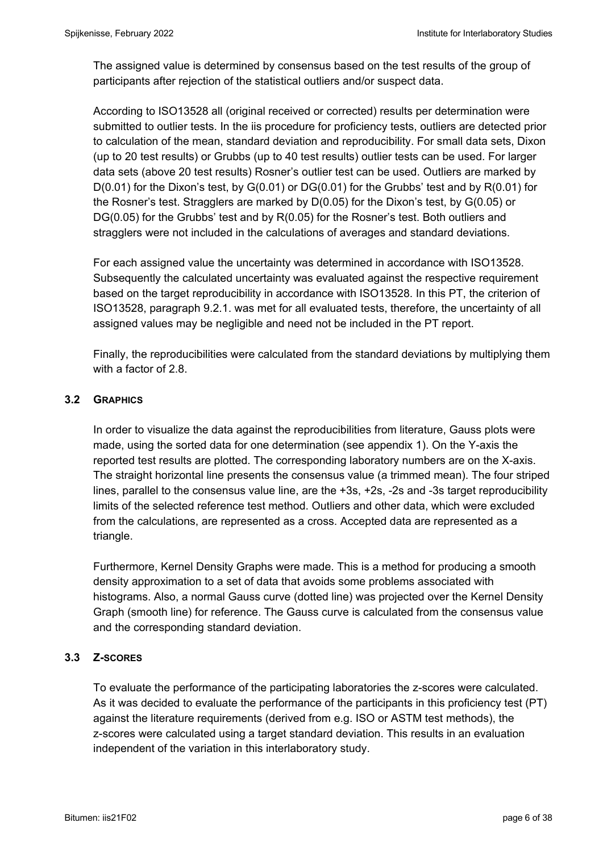The assigned value is determined by consensus based on the test results of the group of participants after rejection of the statistical outliers and/or suspect data.

According to ISO13528 all (original received or corrected) results per determination were submitted to outlier tests. In the iis procedure for proficiency tests, outliers are detected prior to calculation of the mean, standard deviation and reproducibility. For small data sets, Dixon (up to 20 test results) or Grubbs (up to 40 test results) outlier tests can be used. For larger data sets (above 20 test results) Rosner's outlier test can be used. Outliers are marked by  $D(0.01)$  for the Dixon's test, by  $G(0.01)$  or  $DG(0.01)$  for the Grubbs' test and by  $R(0.01)$  for the Rosner's test. Stragglers are marked by D(0.05) for the Dixon's test, by G(0.05) or DG(0.05) for the Grubbs' test and by R(0.05) for the Rosner's test. Both outliers and stragglers were not included in the calculations of averages and standard deviations.

For each assigned value the uncertainty was determined in accordance with ISO13528. Subsequently the calculated uncertainty was evaluated against the respective requirement based on the target reproducibility in accordance with ISO13528. In this PT, the criterion of ISO13528, paragraph 9.2.1. was met for all evaluated tests, therefore, the uncertainty of all assigned values may be negligible and need not be included in the PT report.

Finally, the reproducibilities were calculated from the standard deviations by multiplying them with a factor of 2.8.

## **3.2 GRAPHICS**

In order to visualize the data against the reproducibilities from literature, Gauss plots were made, using the sorted data for one determination (see appendix 1). On the Y-axis the reported test results are plotted. The corresponding laboratory numbers are on the X-axis. The straight horizontal line presents the consensus value (a trimmed mean). The four striped lines, parallel to the consensus value line, are the +3s, +2s, -2s and -3s target reproducibility limits of the selected reference test method. Outliers and other data, which were excluded from the calculations, are represented as a cross. Accepted data are represented as a triangle.

Furthermore, Kernel Density Graphs were made. This is a method for producing a smooth density approximation to a set of data that avoids some problems associated with histograms. Also, a normal Gauss curve (dotted line) was projected over the Kernel Density Graph (smooth line) for reference. The Gauss curve is calculated from the consensus value and the corresponding standard deviation.

## **3.3 Z-SCORES**

To evaluate the performance of the participating laboratories the z-scores were calculated. As it was decided to evaluate the performance of the participants in this proficiency test (PT) against the literature requirements (derived from e.g. ISO or ASTM test methods), the z-scores were calculated using a target standard deviation. This results in an evaluation independent of the variation in this interlaboratory study.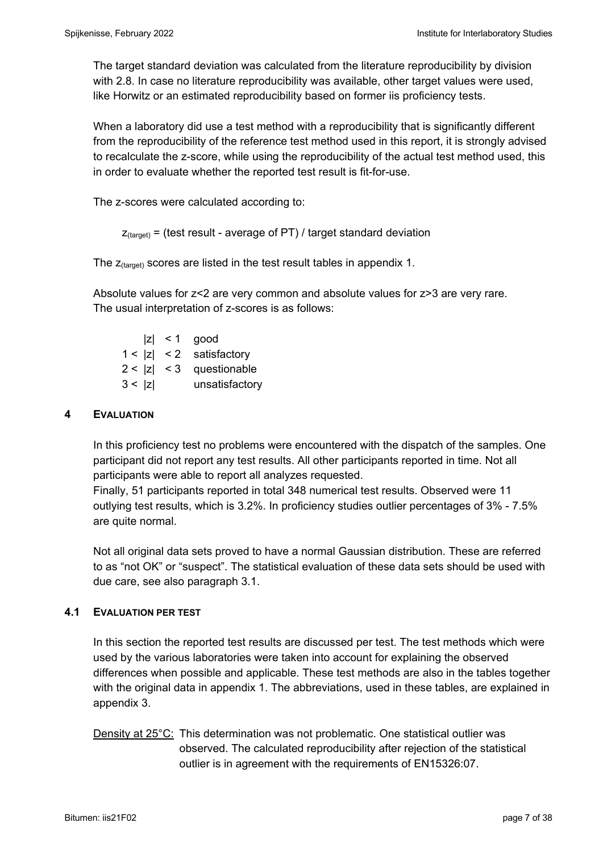The target standard deviation was calculated from the literature reproducibility by division with 2.8. In case no literature reproducibility was available, other target values were used, like Horwitz or an estimated reproducibility based on former iis proficiency tests.

When a laboratory did use a test method with a reproducibility that is significantly different from the reproducibility of the reference test method used in this report, it is strongly advised to recalculate the z-score, while using the reproducibility of the actual test method used, this in order to evaluate whether the reported test result is fit-for-use.

The z-scores were calculated according to:

```
Z_{\text{target}} = (test result - average of PT) / target standard deviation
```
The  $z_{\text{(target)}}$  scores are listed in the test result tables in appendix 1.

Absolute values for z<2 are very common and absolute values for z>3 are very rare. The usual interpretation of z-scores is as follows:

 $|z|$  < 1 good  $1 < |z| < 2$  satisfactory  $2 < |z| < 3$  questionable 3 < |z| unsatisfactory

#### **4 EVALUATION**

In this proficiency test no problems were encountered with the dispatch of the samples. One participant did not report any test results. All other participants reported in time. Not all participants were able to report all analyzes requested.

Finally, 51 participants reported in total 348 numerical test results. Observed were 11 outlying test results, which is 3.2%. In proficiency studies outlier percentages of 3% - 7.5% are quite normal.

Not all original data sets proved to have a normal Gaussian distribution. These are referred to as "not OK" or "suspect". The statistical evaluation of these data sets should be used with due care, see also paragraph 3.1.

### **4.1 EVALUATION PER TEST**

In this section the reported test results are discussed per test. The test methods which were used by the various laboratories were taken into account for explaining the observed differences when possible and applicable. These test methods are also in the tables together with the original data in appendix 1. The abbreviations, used in these tables, are explained in appendix 3.

Density at 25°C: This determination was not problematic. One statistical outlier was observed. The calculated reproducibility after rejection of the statistical outlier is in agreement with the requirements of EN15326:07.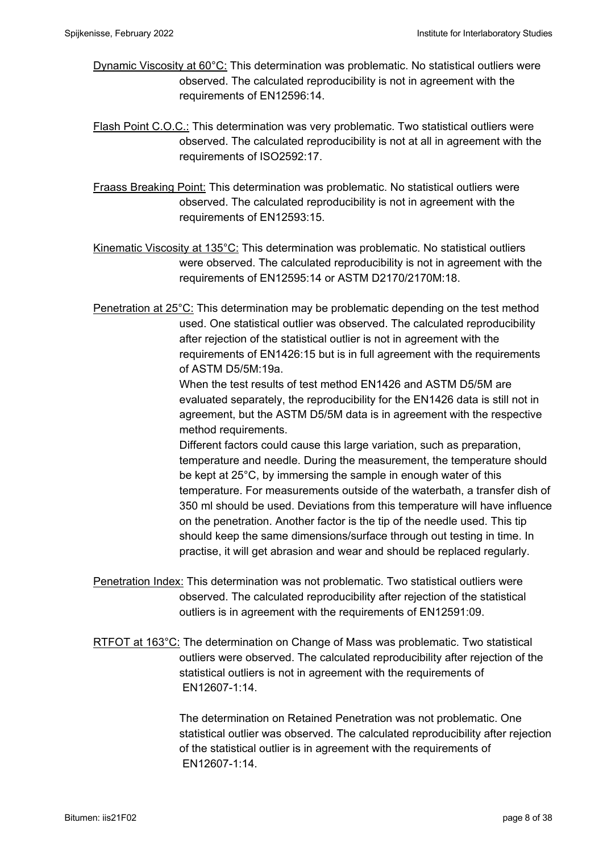- Dynamic Viscosity at 60°C: This determination was problematic. No statistical outliers were observed. The calculated reproducibility is not in agreement with the requirements of EN12596:14.
- Flash Point C.O.C.: This determination was very problematic. Two statistical outliers were observed. The calculated reproducibility is not at all in agreement with the requirements of ISO2592:17.
- Fraass Breaking Point: This determination was problematic. No statistical outliers were observed. The calculated reproducibility is not in agreement with the requirements of EN12593:15.
- Kinematic Viscosity at 135°C: This determination was problematic. No statistical outliers were observed. The calculated reproducibility is not in agreement with the requirements of EN12595:14 or ASTM D2170/2170M:18.
- Penetration at 25°C: This determination may be problematic depending on the test method used. One statistical outlier was observed. The calculated reproducibility after rejection of the statistical outlier is not in agreement with the requirements of EN1426:15 but is in full agreement with the requirements of ASTM D5/5M:19a.

When the test results of test method EN1426 and ASTM D5/5M are evaluated separately, the reproducibility for the EN1426 data is still not in agreement, but the ASTM D5/5M data is in agreement with the respective method requirements.

 Different factors could cause this large variation, such as preparation, temperature and needle. During the measurement, the temperature should be kept at 25°C, by immersing the sample in enough water of this temperature. For measurements outside of the waterbath, a transfer dish of 350 ml should be used. Deviations from this temperature will have influence on the penetration. Another factor is the tip of the needle used. This tip should keep the same dimensions/surface through out testing in time. In practise, it will get abrasion and wear and should be replaced regularly.

- Penetration Index: This determination was not problematic. Two statistical outliers were observed. The calculated reproducibility after rejection of the statistical outliers is in agreement with the requirements of EN12591:09.
- RTFOT at 163°C: The determination on Change of Mass was problematic. Two statistical outliers were observed. The calculated reproducibility after rejection of the statistical outliers is not in agreement with the requirements of EN12607-1:14.

 The determination on Retained Penetration was not problematic. One statistical outlier was observed. The calculated reproducibility after rejection of the statistical outlier is in agreement with the requirements of EN12607-1:14.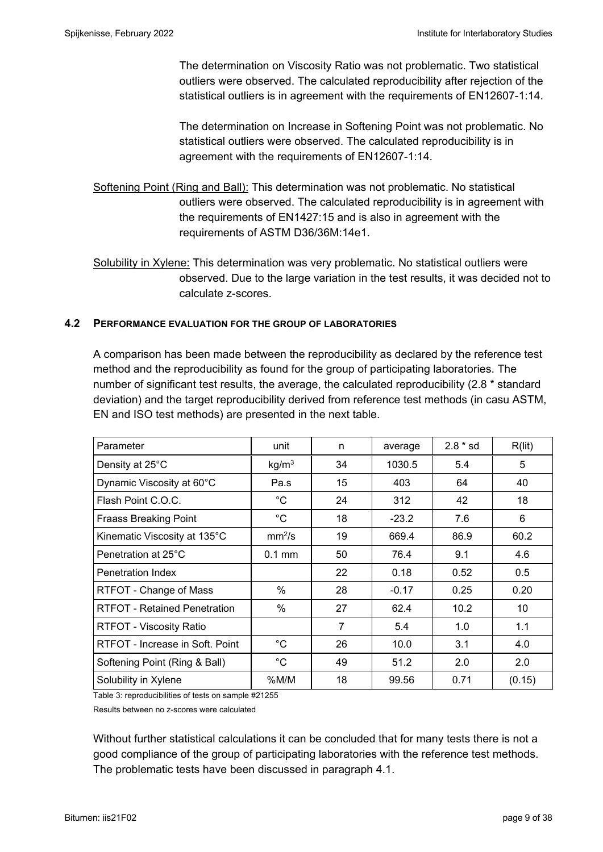The determination on Viscosity Ratio was not problematic. Two statistical outliers were observed. The calculated reproducibility after rejection of the statistical outliers is in agreement with the requirements of EN12607-1:14.

 The determination on Increase in Softening Point was not problematic. No statistical outliers were observed. The calculated reproducibility is in agreement with the requirements of EN12607-1:14.

Softening Point (Ring and Ball): This determination was not problematic. No statistical outliers were observed. The calculated reproducibility is in agreement with the requirements of EN1427:15 and is also in agreement with the requirements of ASTM D36/36M:14e1.

Solubility in Xylene: This determination was very problematic. No statistical outliers were observed. Due to the large variation in the test results, it was decided not to calculate z-scores.

### **4.2 PERFORMANCE EVALUATION FOR THE GROUP OF LABORATORIES**

A comparison has been made between the reproducibility as declared by the reference test method and the reproducibility as found for the group of participating laboratories. The number of significant test results, the average, the calculated reproducibility (2.8 \* standard deviation) and the target reproducibility derived from reference test methods (in casu ASTM, EN and ISO test methods) are presented in the next table.

| Parameter                           | unit               | n              | average | $2.8 * sd$ | R(lit) |
|-------------------------------------|--------------------|----------------|---------|------------|--------|
| Density at 25°C                     | kg/m <sup>3</sup>  | 34             | 1030.5  | 5.4        | 5      |
| Dynamic Viscosity at 60°C           | Pa.s               | 15             | 403     | 64         | 40     |
| Flash Point C.O.C.                  | °C                 | 24             | 312     | 42         | 18     |
| <b>Fraass Breaking Point</b>        | $^{\circ}C$        | 18             | $-23.2$ | 7.6        | 6      |
| Kinematic Viscosity at 135°C        | mm <sup>2</sup> /s | 19             | 669.4   | 86.9       | 60.2   |
| Penetration at 25°C                 | $0.1$ mm           | 50             | 76.4    | 9.1        | 4.6    |
| <b>Penetration Index</b>            |                    | 22             | 0.18    | 0.52       | 0.5    |
| RTFOT - Change of Mass              | $\%$               | 28             | $-0.17$ | 0.25       | 0.20   |
| <b>RTFOT - Retained Penetration</b> | $\frac{0}{0}$      | 27             | 62.4    | 10.2       | 10     |
| <b>RTFOT - Viscosity Ratio</b>      |                    | $\overline{7}$ | 5.4     | 1.0        | 1.1    |
| RTFOT - Increase in Soft. Point     | $^{\circ}C$        | 26             | 10.0    | 3.1        | 4.0    |
| Softening Point (Ring & Ball)       | $^{\circ}C$        | 49             | 51.2    | 2.0        | 2.0    |
| Solubility in Xylene                | %M/M               | 18             | 99.56   | 0.71       | (0.15) |

Table 3: reproducibilities of tests on sample #21255

Results between no z-scores were calculated

Without further statistical calculations it can be concluded that for many tests there is not a good compliance of the group of participating laboratories with the reference test methods. The problematic tests have been discussed in paragraph 4.1.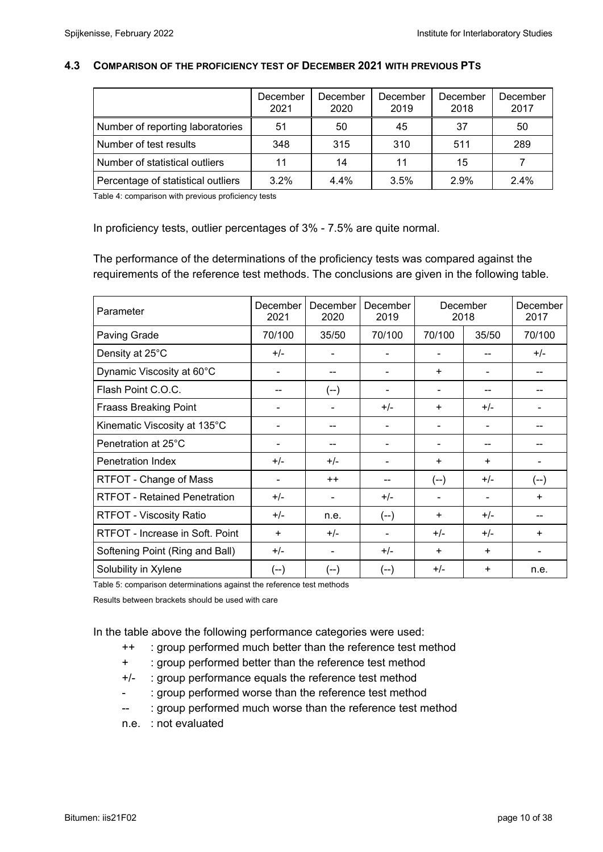#### **4.3 COMPARISON OF THE PROFICIENCY TEST OF DECEMBER 2021 WITH PREVIOUS PTS**

|                                    | December<br>2021 | December<br>2020 | December<br>2019 | December<br>2018 | December<br>2017 |
|------------------------------------|------------------|------------------|------------------|------------------|------------------|
| Number of reporting laboratories   | 51               | 50               | 45               | 37               | 50               |
| Number of test results             | 348              | 315              | 310              | 511              | 289              |
| Number of statistical outliers     | 11               | 14               | 11               | 15               |                  |
| Percentage of statistical outliers | $3.2\%$          | $4.4\%$          | 3.5%             | 2.9%             | 2.4%             |

Table 4: comparison with previous proficiency tests

In proficiency tests, outlier percentages of 3% - 7.5% are quite normal.

The performance of the determinations of the proficiency tests was compared against the requirements of the reference test methods. The conclusions are given in the following table.

| Parameter                           | December<br>2021 | December<br>2020 | December<br>2019         |           | December<br>2018         | December<br>2017 |
|-------------------------------------|------------------|------------------|--------------------------|-----------|--------------------------|------------------|
| Paving Grade                        | 70/100           | 35/50            | 70/100                   | 70/100    | 35/50                    | 70/100           |
| Density at 25°C                     | $+/-$            |                  |                          |           |                          | $+/-$            |
| Dynamic Viscosity at 60°C           |                  |                  | $\blacksquare$           | $\ddot{}$ | $\overline{\phantom{a}}$ |                  |
| Flash Point C.O.C.                  |                  | (--)             |                          |           |                          |                  |
| <b>Fraass Breaking Point</b>        |                  |                  | $+/-$                    | $\ddot{}$ | $+/-$                    |                  |
| Kinematic Viscosity at 135°C        |                  |                  | $\overline{\phantom{a}}$ |           |                          |                  |
| Penetration at 25°C                 |                  |                  |                          |           | --                       |                  |
| <b>Penetration Index</b>            | $+/-$            | $+/-$            |                          | $+$       | $\ddot{}$                |                  |
| RTFOT - Change of Mass              |                  | $++$             | --                       | (--)      | $+/-$                    | (--)             |
| <b>RTFOT - Retained Penetration</b> | $+/-$            |                  | $+/-$                    |           |                          | +                |
| <b>RTFOT - Viscosity Ratio</b>      | $+/-$            | n.e.             | $(-)$                    | $\ddot{}$ | $+/-$                    |                  |
| RTFOT - Increase in Soft. Point     | $\ddot{}$        | $+/-$            |                          | $+/-$     | $+/-$                    | $\ddot{}$        |
| Softening Point (Ring and Ball)     | $+/-$            |                  | $+/-$                    | $\ddot{}$ | $\ddot{}$                |                  |
| Solubility in Xylene                | (--)             | $(--)$           | (--)                     | $+/-$     | $\ddot{}$                | n.e.             |

Table 5: comparison determinations against the reference test methods

Results between brackets should be used with care

In the table above the following performance categories were used:

- ++ : group performed much better than the reference test method
- + : group performed better than the reference test method
- +/- : group performance equals the reference test method
- : group performed worse than the reference test method
- -- : group performed much worse than the reference test method
- n.e. : not evaluated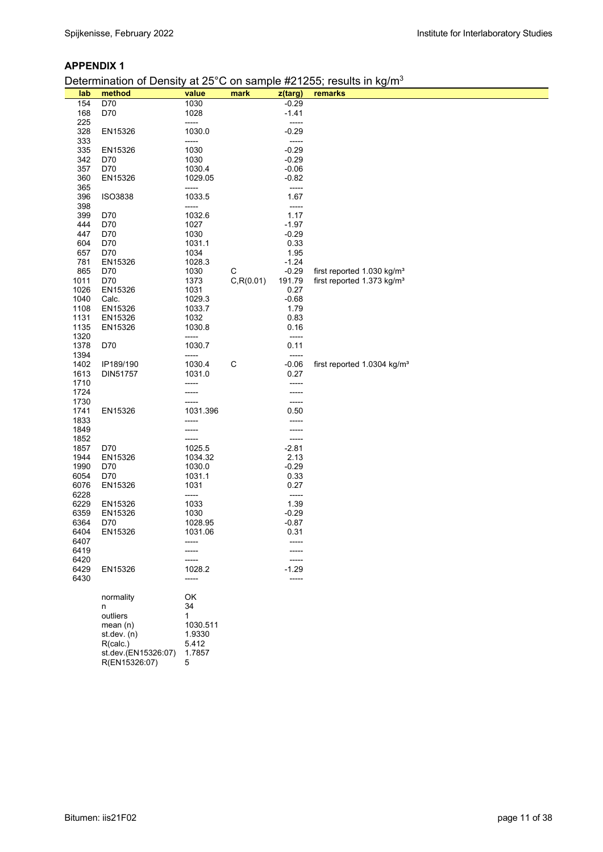#### **APPENDIX 1**

#### Determination of Density at 25°C on sample #21255; results in kg/m3

| lab  | method              | value        | mark       | z(targ) | remarks                                 |
|------|---------------------|--------------|------------|---------|-----------------------------------------|
| 154  | D70                 | 1030         |            | $-0.29$ |                                         |
| 168  | D70                 | 1028         |            | $-1.41$ |                                         |
| 225  |                     | -----        |            | -----   |                                         |
| 328  | EN15326             | 1030.0       |            | $-0.29$ |                                         |
| 333  |                     | -----        |            | -----   |                                         |
| 335  | EN15326             | 1030         |            | $-0.29$ |                                         |
| 342  | D70                 | 1030         |            | $-0.29$ |                                         |
| 357  | D70                 | 1030.4       |            | $-0.06$ |                                         |
| 360  | EN15326             | 1029.05      |            | $-0.82$ |                                         |
| 365  |                     | -----        |            | -----   |                                         |
| 396  | <b>ISO3838</b>      | 1033.5       |            | 1.67    |                                         |
| 398  |                     | -----        |            | -----   |                                         |
| 399  | D70                 | 1032.6       |            | 1.17    |                                         |
| 444  | D70                 | 1027         |            | $-1.97$ |                                         |
| 447  | D70                 | 1030         |            | $-0.29$ |                                         |
| 604  | D70                 | 1031.1       |            | 0.33    |                                         |
| 657  | D70                 | 1034         |            | 1.95    |                                         |
| 781  | EN15326             | 1028.3       |            | $-1.24$ |                                         |
| 865  | D70                 | 1030         | C          | $-0.29$ | first reported 1.030 kg/m <sup>3</sup>  |
| 1011 | D70                 | 1373         | C, R(0.01) | 191.79  | first reported 1.373 kg/m <sup>3</sup>  |
| 1026 | EN15326             | 1031         |            | 0.27    |                                         |
| 1040 | Calc.               | 1029.3       |            | $-0.68$ |                                         |
| 1108 | EN15326             | 1033.7       |            | 1.79    |                                         |
| 1131 | EN15326             | 1032         |            | 0.83    |                                         |
| 1135 | EN15326             | 1030.8       |            | 0.16    |                                         |
| 1320 |                     | -----        |            | -----   |                                         |
| 1378 | D70                 | 1030.7       |            | 0.11    |                                         |
| 1394 |                     | -----        |            | -----   |                                         |
| 1402 | IP189/190           | 1030.4       | C          | $-0.06$ | first reported 1.0304 kg/m <sup>3</sup> |
| 1613 | DIN51757            | 1031.0       |            | 0.27    |                                         |
| 1710 |                     | -----        |            | -----   |                                         |
| 1724 |                     |              |            | -----   |                                         |
| 1730 |                     | -----        |            | -----   |                                         |
| 1741 | EN15326             | 1031.396     |            | 0.50    |                                         |
| 1833 |                     |              |            |         |                                         |
| 1849 |                     | ----         |            | -----   |                                         |
| 1852 |                     | ----         |            | -----   |                                         |
| 1857 | D70                 | 1025.5       |            | $-2.81$ |                                         |
| 1944 | EN15326             | 1034.32      |            | 2.13    |                                         |
| 1990 | D70                 | 1030.0       |            | $-0.29$ |                                         |
| 6054 | D70                 | 1031.1       |            | 0.33    |                                         |
| 6076 | EN15326             | 1031         |            | 0.27    |                                         |
| 6228 |                     | -----        |            | -----   |                                         |
| 6229 | EN15326             | 1033         |            | 1.39    |                                         |
| 6359 | EN15326             | 1030         |            | $-0.29$ |                                         |
| 6364 | D70                 | 1028.95      |            | $-0.87$ |                                         |
| 6404 | EN15326             | 1031.06      |            | 0.31    |                                         |
| 6407 |                     |              |            |         |                                         |
| 6419 |                     |              |            |         |                                         |
| 6420 |                     |              |            |         |                                         |
| 6429 | EN15326             | 1028.2       |            | $-1.29$ |                                         |
| 6430 |                     | -----        |            | -----   |                                         |
|      | normality           | OK           |            |         |                                         |
|      |                     | 34           |            |         |                                         |
|      | n<br>outliers       | $\mathbf{1}$ |            |         |                                         |
|      | mean $(n)$          | 1030.511     |            |         |                                         |
|      | st.dev. $(n)$       | 1.9330       |            |         |                                         |
|      | R(calc.)            | 5.412        |            |         |                                         |
|      | st.dev.(EN15326:07) | 1.7857       |            |         |                                         |
|      | R(EN15326:07)       | 5            |            |         |                                         |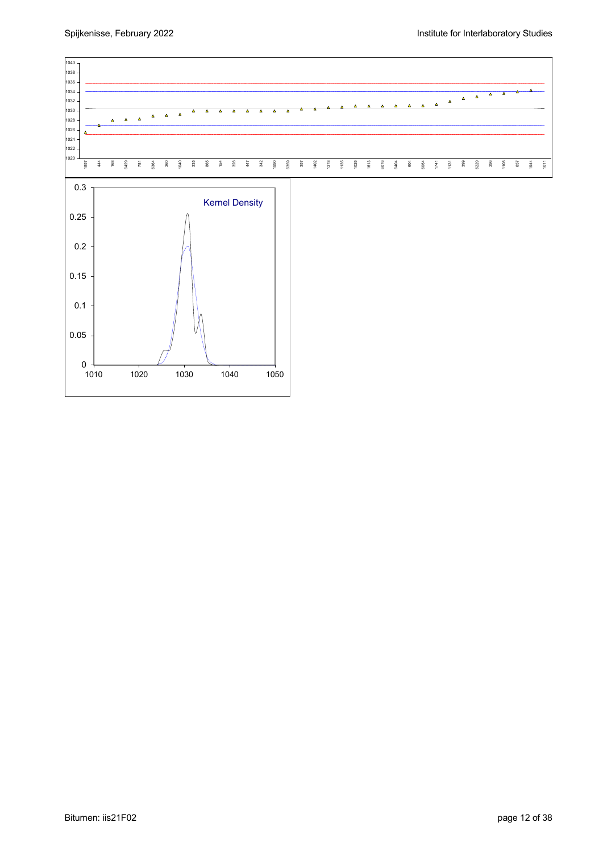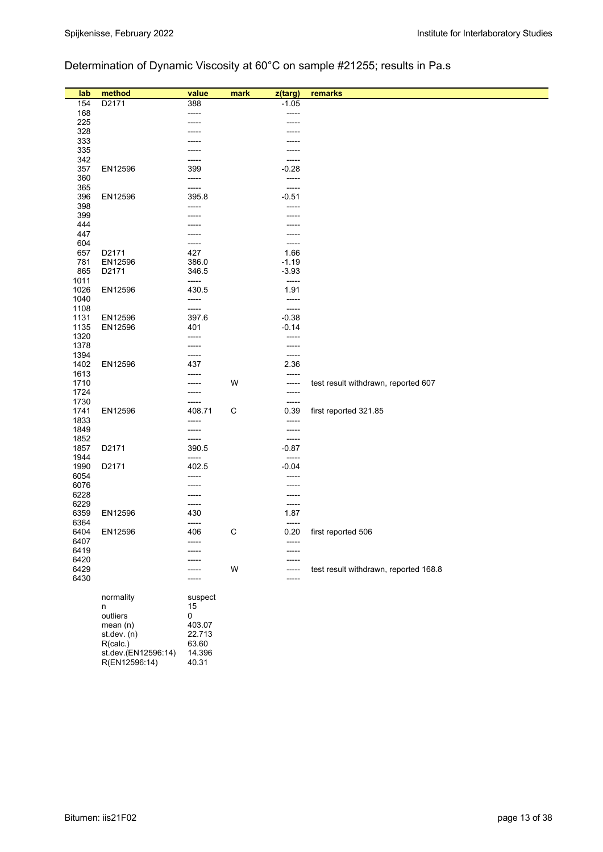# Determination of Dynamic Viscosity at 60°C on sample #21255; results in Pa.s

| lab          | method                  | value           | mark        | z(targ)          | remarks                               |
|--------------|-------------------------|-----------------|-------------|------------------|---------------------------------------|
| 154          | D2171                   | 388             |             | $-1.05$          |                                       |
| 168          |                         | -----           |             | -----            |                                       |
| 225          |                         |                 |             |                  |                                       |
| 328          |                         |                 |             |                  |                                       |
| 333          |                         |                 |             |                  |                                       |
| 335          |                         |                 |             |                  |                                       |
| 342<br>357   | EN12596                 | 399             |             | -----<br>$-0.28$ |                                       |
| 360          |                         | -----           |             | -----            |                                       |
| 365          |                         | -----           |             | -----            |                                       |
| 396          | EN12596                 | 395.8           |             | $-0.51$          |                                       |
| 398          |                         |                 |             |                  |                                       |
| 399          |                         |                 |             |                  |                                       |
| 444<br>447   |                         |                 |             | -----<br>-----   |                                       |
| 604          |                         | -----           |             | -----            |                                       |
| 657          | D <sub>2</sub> 171      | 427             |             | 1.66             |                                       |
| 781          | EN12596                 | 386.0           |             | $-1.19$          |                                       |
| 865          | D2171                   | 346.5           |             | $-3.93$          |                                       |
| 1011         |                         | -----           |             | -----            |                                       |
| 1026         | EN12596                 | 430.5           |             | 1.91             |                                       |
| 1040<br>1108 |                         | -----<br>-----  |             | -----<br>-----   |                                       |
| 1131         | EN12596                 | 397.6           |             | $-0.38$          |                                       |
| 1135         | EN12596                 | 401             |             | $-0.14$          |                                       |
| 1320         |                         | -----           |             | -----            |                                       |
| 1378         |                         |                 |             | -----            |                                       |
| 1394         |                         | -----           |             | -----            |                                       |
| 1402         | EN12596                 | 437             |             | 2.36             |                                       |
| 1613<br>1710 |                         | -----<br>-----  | W           | -----<br>-----   | test result withdrawn, reported 607   |
| 1724         |                         | -----           |             | -----            |                                       |
| 1730         |                         | -----           |             | -----            |                                       |
| 1741         | EN12596                 | 408.71          | C           | 0.39             | first reported 321.85                 |
| 1833         |                         | -----           |             | -----            |                                       |
| 1849         |                         | -----           |             | -----            |                                       |
| 1852<br>1857 | D2171                   | -----<br>390.5  |             | -----<br>$-0.87$ |                                       |
| 1944         |                         | -----           |             | -----            |                                       |
| 1990         | D2171                   | 402.5           |             | $-0.04$          |                                       |
| 6054         |                         |                 |             |                  |                                       |
| 6076         |                         |                 |             |                  |                                       |
| 6228         |                         |                 |             |                  |                                       |
| 6229<br>6359 | EN12596                 | -----<br>430    |             | -----<br>1.87    |                                       |
| 6364         |                         | -----           |             | -----            |                                       |
| 6404         | EN12596                 | 406             | $\mathsf C$ | 0.20             | first reported 506                    |
| 6407         |                         |                 |             |                  |                                       |
| 6419         |                         |                 |             |                  |                                       |
| 6420         |                         |                 |             |                  |                                       |
| 6429<br>6430 |                         |                 | W           |                  | test result withdrawn, reported 168.8 |
|              |                         |                 |             |                  |                                       |
|              | normality               | suspect         |             |                  |                                       |
|              | n                       | 15              |             |                  |                                       |
|              | outliers                | 0               |             |                  |                                       |
|              | mean(n)                 | 403.07          |             |                  |                                       |
|              | st.dev. (n)<br>R(calc.) | 22.713<br>63.60 |             |                  |                                       |
|              | st.dev.(EN12596:14)     | 14.396          |             |                  |                                       |
|              | R(EN12596:14)           | 40.31           |             |                  |                                       |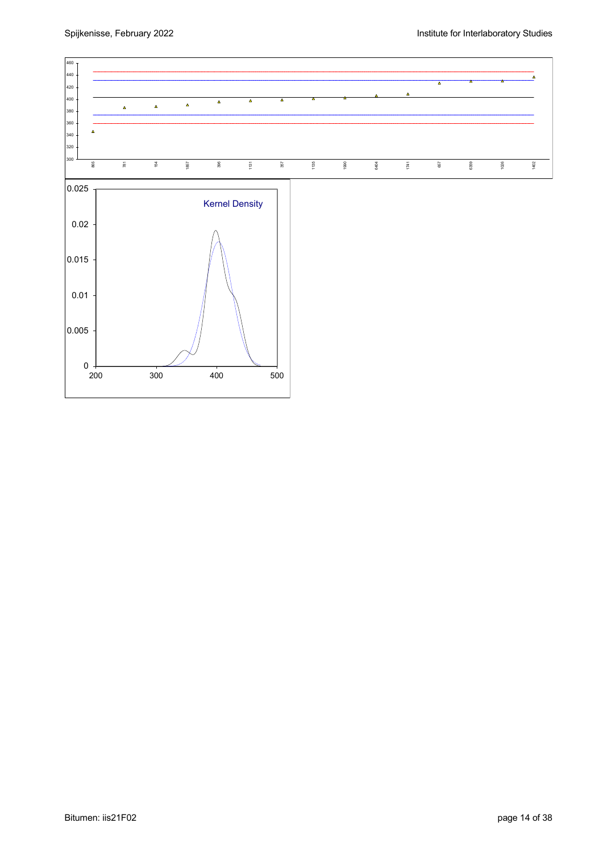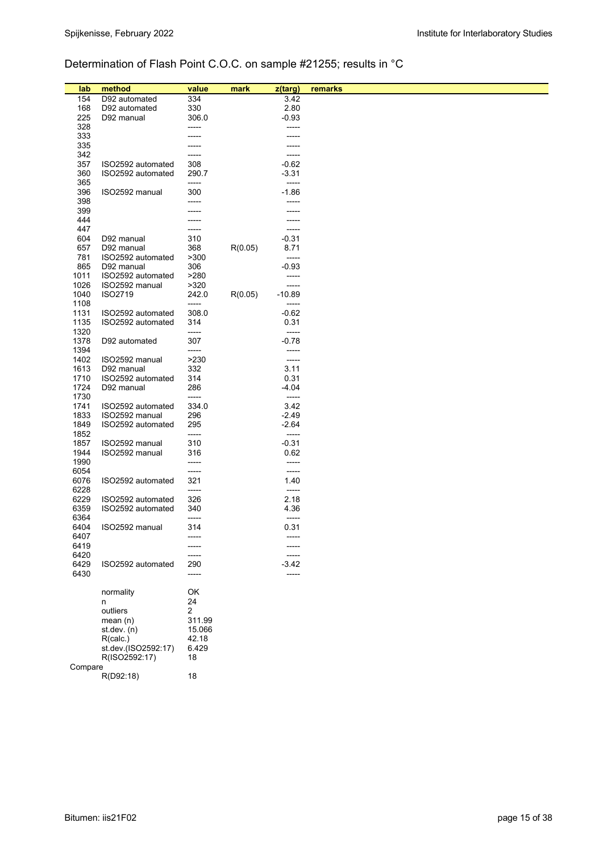## Determination of Flash Point C.O.C. on sample #21255; results in °C

| lab          | method                                 | value        | mark    | z(targ)       | remarks |
|--------------|----------------------------------------|--------------|---------|---------------|---------|
| 154          | D92 automated                          | 334          |         | 3.42          |         |
| 168          | D92 automated                          | 330          |         | 2.80          |         |
| 225<br>328   | D92 manual                             | 306.0        |         | $-0.93$       |         |
| 333          |                                        | -----        |         |               |         |
| 335          |                                        |              |         |               |         |
| 342          |                                        |              |         |               |         |
| 357          | ISO2592 automated                      | 308          |         | $-0.62$       |         |
| 360          | ISO2592 automated                      | 290.7        |         | $-3.31$       |         |
| 365          |                                        | -----        |         | -----         |         |
| 396          | ISO2592 manual                         | 300          |         | $-1.86$       |         |
| 398          |                                        |              |         |               |         |
| 399          |                                        |              |         |               |         |
| 444          |                                        |              |         |               |         |
| 447          |                                        | -----        |         |               |         |
| 604          | D92 manual                             | 310          |         | $-0.31$       |         |
| 657          | D92 manual                             | 368          | R(0.05) | 8.71          |         |
| 781          | ISO2592 automated                      | >300         |         | -----         |         |
| 865          | D92 manual                             | 306          |         | $-0.93$       |         |
| 1011         | ISO2592 automated                      | >280         |         | -----         |         |
| 1026         | ISO2592 manual                         | >320         |         | -----         |         |
| 1040         | ISO2719                                | 242.0        | R(0.05) | $-10.89$      |         |
| 1108         |                                        | -----        |         | -----         |         |
| 1131         | ISO2592 automated                      | 308.0        |         | $-0.62$       |         |
| 1135<br>1320 | ISO2592 automated                      | 314          |         | 0.31<br>----- |         |
| 1378         | D92 automated                          | -----<br>307 |         | $-0.78$       |         |
| 1394         |                                        | -----        |         | -----         |         |
| 1402         | ISO2592 manual                         | >230         |         | -----         |         |
| 1613         | D92 manual                             | 332          |         | 3.11          |         |
| 1710         | ISO2592 automated                      | 314          |         | 0.31          |         |
| 1724         | D92 manual                             | 286          |         | $-4.04$       |         |
| 1730         |                                        | -----        |         | -----         |         |
| 1741         | ISO2592 automated                      | 334.0        |         | 3.42          |         |
| 1833         | ISO2592 manual                         | 296          |         | $-2.49$       |         |
| 1849         | ISO2592 automated                      | 295          |         | $-2.64$       |         |
| 1852         |                                        | -----        |         | -----         |         |
| 1857         | ISO2592 manual                         | 310          |         | $-0.31$       |         |
| 1944         | ISO2592 manual                         | 316          |         | 0.62          |         |
| 1990         |                                        | -----        |         |               |         |
| 6054         |                                        | -----        |         | -----         |         |
| 6076         | ISO2592 automated                      | 321          |         | 1.40          |         |
| 6228         |                                        | -----        |         | $-----$       |         |
| 6229<br>6359 | ISO2592 automated<br>ISO2592 automated | 326<br>340   |         | 2.18<br>4.36  |         |
| 6364         |                                        | -----        |         | -----         |         |
| 6404         | ISO2592 manual                         | 314          |         | 0.31          |         |
| 6407         |                                        |              |         |               |         |
| 6419         |                                        |              |         |               |         |
| 6420         |                                        |              |         |               |         |
| 6429         | ISO2592 automated                      | 290          |         | $-3.42$       |         |
| 6430         |                                        |              |         |               |         |
|              |                                        |              |         |               |         |
|              | normality                              | OK           |         |               |         |
|              | n                                      | 24           |         |               |         |
|              | outliers                               | 2            |         |               |         |
|              | mean $(n)$                             | 311.99       |         |               |         |
|              | st. dev. (n)                           | 15.066       |         |               |         |
|              | R(calc.)                               | 42.18        |         |               |         |
|              | st.dev.(ISO2592:17)                    | 6.429        |         |               |         |
| Compare      | R(ISO2592:17)                          | 18           |         |               |         |
|              | R(D92:18)                              | 18           |         |               |         |
|              |                                        |              |         |               |         |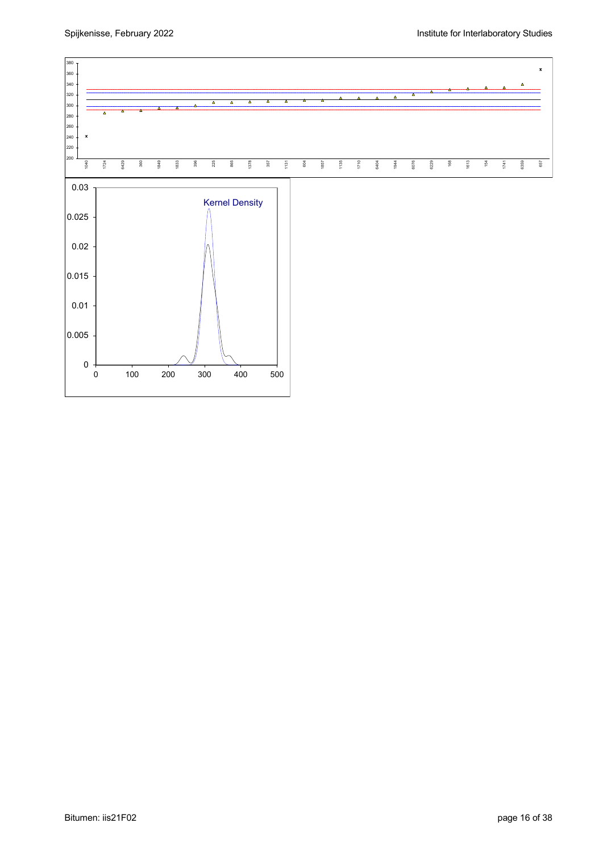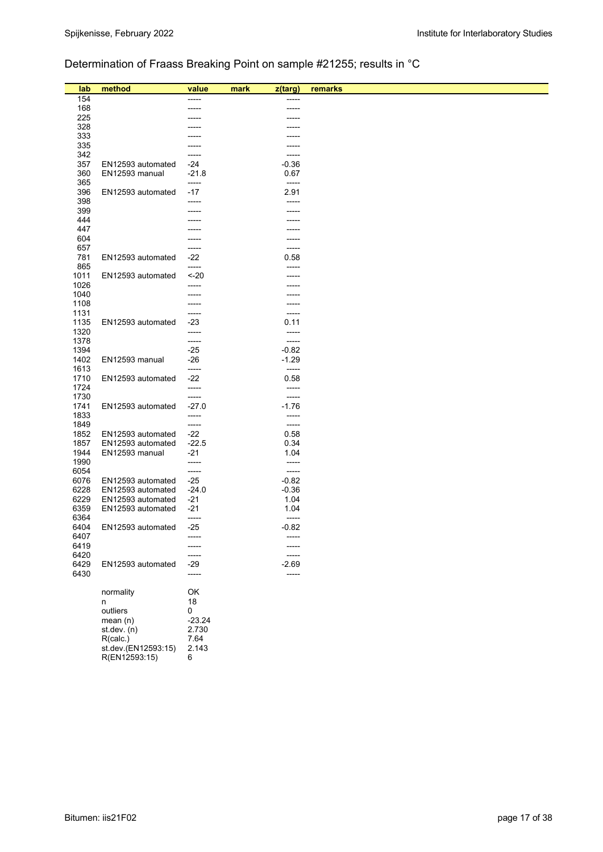# Determination of Fraass Breaking Point on sample #21255; results in °C

| lab          | method                                 | value            | mark | z(targ)            | remarks |
|--------------|----------------------------------------|------------------|------|--------------------|---------|
| 154          |                                        | -----            |      | -----              |         |
| 168          |                                        |                  |      | -----              |         |
| 225          |                                        |                  |      |                    |         |
| 328<br>333   |                                        |                  |      |                    |         |
| 335          |                                        |                  |      |                    |         |
| 342          |                                        | -----            |      | -----              |         |
| 357          | EN12593 automated                      | $-24$            |      | $-0.36$            |         |
| 360          | EN12593 manual                         | $-21.8$          |      | 0.67               |         |
| 365          |                                        | -----            |      | -----              |         |
| 396<br>398   | EN12593 automated                      | -17<br>-----     |      | 2.91<br>-----      |         |
| 399          |                                        |                  |      | -----              |         |
| 444          |                                        |                  |      |                    |         |
| 447          |                                        |                  |      |                    |         |
| 604          |                                        |                  |      |                    |         |
| 657<br>781   | EN12593 automated                      | -----<br>$-22$   |      | -----<br>0.58      |         |
| 865          |                                        | -----            |      |                    |         |
| 1011         | EN12593 automated                      | $< -20$          |      |                    |         |
| 1026         |                                        | -----            |      |                    |         |
| 1040         |                                        |                  |      |                    |         |
| 1108         |                                        |                  |      | -----              |         |
| 1131<br>1135 | EN12593 automated                      | -----<br>-23     |      | -----<br>0.11      |         |
| 1320         |                                        | -----            |      | -----              |         |
| 1378         |                                        | -----            |      | -----              |         |
| 1394         |                                        | $-25$            |      | $-0.82$            |         |
| 1402         | EN12593 manual                         | -26              |      | $-1.29$            |         |
| 1613<br>1710 | EN12593 automated                      | -----<br>$-22$   |      | -----<br>0.58      |         |
| 1724         |                                        | -----            |      | -----              |         |
| 1730         |                                        | -----            |      | -----              |         |
| 1741         | EN12593 automated                      | -27.0            |      | -1.76              |         |
| 1833         |                                        | -----            |      | -----              |         |
| 1849<br>1852 | EN12593 automated                      | -----<br>$-22$   |      | -----<br>0.58      |         |
| 1857         | EN12593 automated                      | $-22.5$          |      | 0.34               |         |
| 1944         | EN12593 manual                         | -21              |      | 1.04               |         |
| 1990         |                                        | -----            |      | -----              |         |
| 6054         |                                        | -----            |      | -----              |         |
| 6076<br>6228 | EN12593 automated<br>EN12593 automated | $-25$<br>$-24.0$ |      | $-0.82$<br>$-0.36$ |         |
| 6229         | EN12593 automated                      | $-21$            |      | 1.04               |         |
| 6359         | EN12593 automated                      | $-21$            |      | 1.04               |         |
| 6364         |                                        | -----            |      | $-----$            |         |
| 6404         | EN12593 automated                      | $-25$            |      | $-0.82$            |         |
| 6407<br>6419 |                                        |                  |      |                    |         |
| 6420         |                                        |                  |      |                    |         |
| 6429         | EN12593 automated                      | $-29$            |      | $-2.69$            |         |
| 6430         |                                        |                  |      | -----              |         |
|              |                                        |                  |      |                    |         |
|              | normality                              | OK               |      |                    |         |
|              | n<br>outliers                          | 18<br>0          |      |                    |         |
|              | mean $(n)$                             | $-23.24$         |      |                    |         |
|              | st. dev. (n)                           | 2.730            |      |                    |         |
|              | R(calc.)<br>st.dev.(EN12593:15)        | 7.64             |      |                    |         |
|              |                                        | 2.143            |      |                    |         |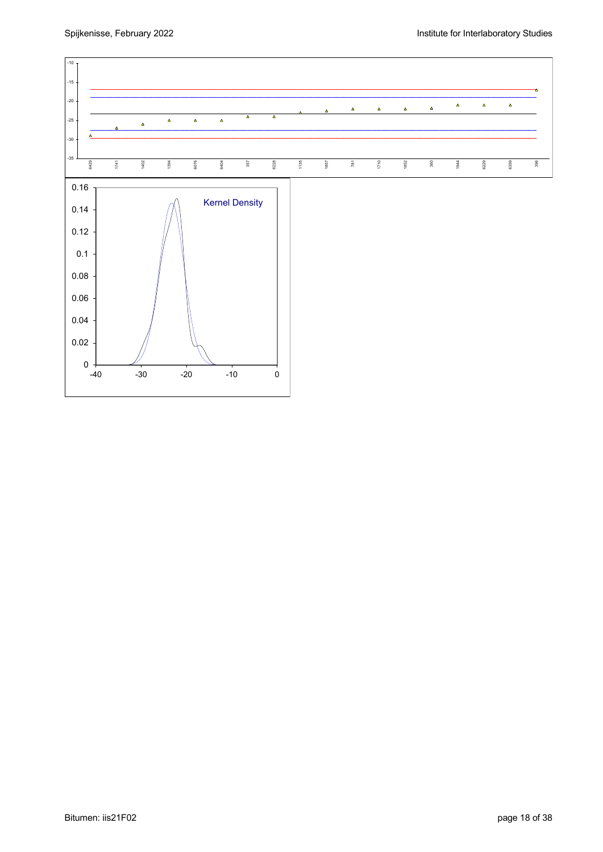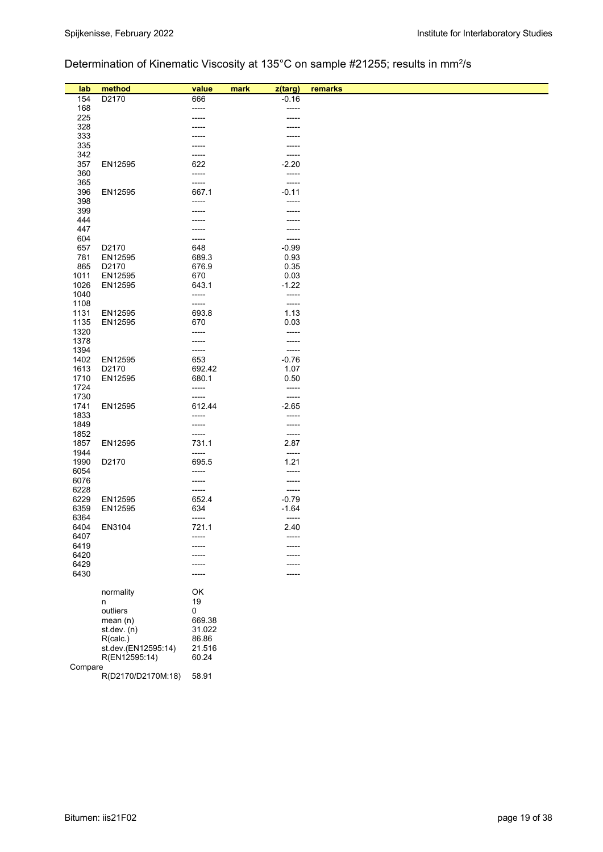## Determination of Kinematic Viscosity at 135°C on sample #21255; results in mm<sup>2</sup>/s

| lab          | method              | value           | mark<br>z(targ)  | remarks |
|--------------|---------------------|-----------------|------------------|---------|
| 154          | D2170               | 666             | $-0.16$          |         |
| 168          |                     | -----           | -----            |         |
| 225          |                     |                 |                  |         |
| 328          |                     |                 |                  |         |
| 333          |                     |                 |                  |         |
| 335          |                     |                 |                  |         |
| 342          |                     | -----           | -----            |         |
| 357<br>360   | EN12595             | 622<br>-----    | $-2.20$<br>----- |         |
| 365          |                     | -----           | -----            |         |
| 396          | EN12595             | 667.1           | $-0.11$          |         |
| 398          |                     | -----           |                  |         |
| 399          |                     |                 |                  |         |
| 444          |                     |                 |                  |         |
| 447          |                     |                 | -----            |         |
| 604          |                     |                 | -----            |         |
| 657          | D2170               | 648             | $-0.99$          |         |
| 781          | EN12595             | 689.3           | 0.93             |         |
| 865<br>1011  | D2170               | 676.9           | 0.35<br>0.03     |         |
| 1026         | EN12595<br>EN12595  | 670<br>643.1    | $-1.22$          |         |
| 1040         |                     | -----           | -----            |         |
| 1108         |                     | -----           | $-----$          |         |
| 1131         | EN12595             | 693.8           | 1.13             |         |
| 1135         | EN12595             | 670             | 0.03             |         |
| 1320         |                     | -----           | -----            |         |
| 1378         |                     | -----           | -----            |         |
| 1394         |                     | -----           | -----            |         |
| 1402         | EN12595             | 653             | $-0.76$          |         |
| 1613<br>1710 | D2170<br>EN12595    | 692.42<br>680.1 | 1.07<br>0.50     |         |
| 1724         |                     | -----           | -----            |         |
| 1730         |                     | -----           | -----            |         |
| 1741         | EN12595             | 612.44          | $-2.65$          |         |
| 1833         |                     | -----           | -----            |         |
| 1849         |                     | -----           | -----            |         |
| 1852         |                     | -----           | -----            |         |
| 1857         | EN12595             | 731.1           | 2.87             |         |
| 1944         |                     | -----           | -----            |         |
| 1990<br>6054 | D2170               | 695.5<br>-----  | 1.21<br>-----    |         |
| 6076         |                     | -----           | -----            |         |
| 6228         |                     | -----           | -----            |         |
| 6229         | EN12595             | 652.4           | $-0.79$          |         |
| 6359         | EN12595             | 634             | $-1.64$          |         |
| 6364         |                     | -----           | -----            |         |
| 6404         | EN3104              | 721.1           | 2.40             |         |
| 6407         |                     |                 |                  |         |
| 6419         |                     |                 |                  |         |
| 6420<br>6429 |                     |                 |                  |         |
| 6430         |                     |                 |                  |         |
|              |                     |                 |                  |         |
|              | normality           | OK              |                  |         |
|              | n                   | 19              |                  |         |
|              | outliers            | 0               |                  |         |
|              | mean $(n)$          | 669.38          |                  |         |
|              | st.dev. $(n)$       | 31.022          |                  |         |
|              | R(calc.)            | 86.86           |                  |         |
|              | st.dev.(EN12595:14) | 21.516<br>60.24 |                  |         |
| Compare      | R(EN12595:14)       |                 |                  |         |
|              | R(D2170/D2170M:18)  | 58.91           |                  |         |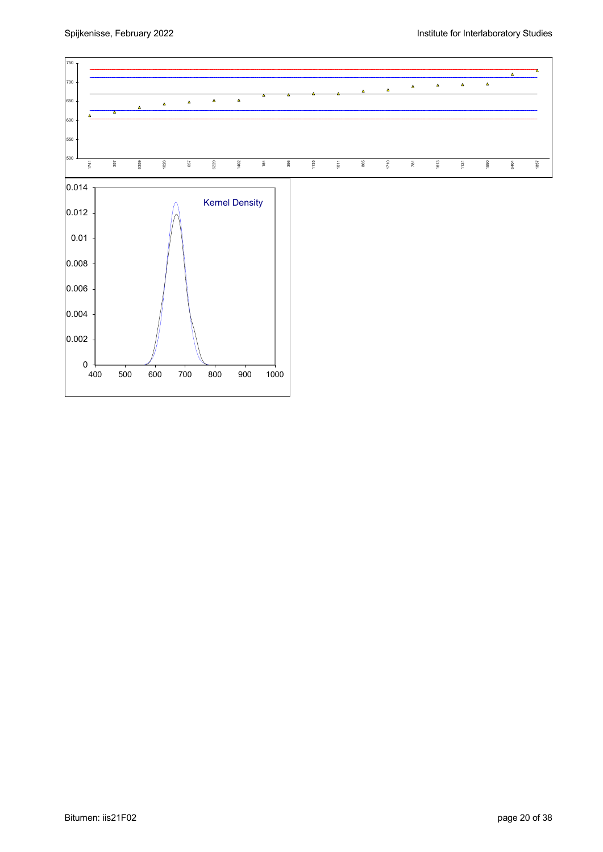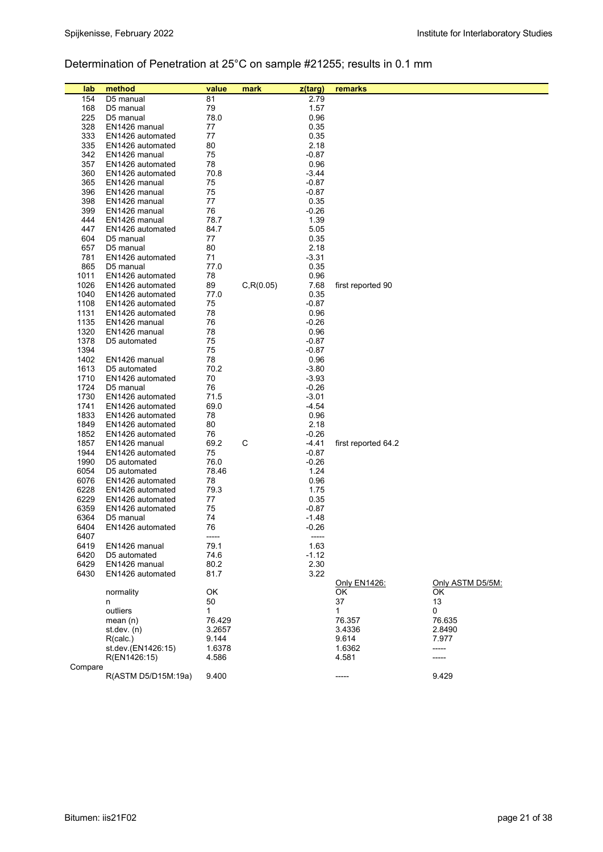## Determination of Penetration at 25°C on sample #21255; results in 0.1 mm

| lab     | method              | value        | mark       | z(targ) | remarks             |                  |
|---------|---------------------|--------------|------------|---------|---------------------|------------------|
| 154     | D5 manual           | 81           |            | 2.79    |                     |                  |
| 168     | D5 manual           | 79           |            | 1.57    |                     |                  |
| 225     | D5 manual           | 78.0         |            | 0.96    |                     |                  |
| 328     | EN1426 manual       | 77           |            | 0.35    |                     |                  |
| 333     | EN1426 automated    | 77           |            | 0.35    |                     |                  |
| 335     | EN1426 automated    | 80           |            | 2.18    |                     |                  |
| 342     | EN1426 manual       | 75           |            | -0.87   |                     |                  |
| 357     | EN1426 automated    | 78           |            | 0.96    |                     |                  |
| 360     | EN1426 automated    | 70.8         |            | -3.44   |                     |                  |
| 365     | EN1426 manual       | 75           |            | -0.87   |                     |                  |
| 396     | EN1426 manual       | 75           |            | -0.87   |                     |                  |
| 398     | EN1426 manual       | 77           |            | 0.35    |                     |                  |
| 399     | EN1426 manual       | 76           |            | $-0.26$ |                     |                  |
| 444     | EN1426 manual       | 78.7         |            | 1.39    |                     |                  |
| 447     | EN1426 automated    | 84.7         |            | 5.05    |                     |                  |
| 604     | D5 manual           | 77           |            | 0.35    |                     |                  |
| 657     | D5 manual           | 80           |            | 2.18    |                     |                  |
| 781     | EN1426 automated    | 71           |            | $-3.31$ |                     |                  |
| 865     | D5 manual           | 77.0         |            | 0.35    |                     |                  |
| 1011    | EN1426 automated    | 78           |            | 0.96    |                     |                  |
| 1026    | EN1426 automated    | 89           | C, R(0.05) | 7.68    | first reported 90   |                  |
| 1040    | EN1426 automated    | 77.0         |            | 0.35    |                     |                  |
| 1108    | EN1426 automated    | 75           |            | $-0.87$ |                     |                  |
| 1131    | EN1426 automated    | 78           |            | 0.96    |                     |                  |
| 1135    | EN1426 manual       | 76           |            | -0.26   |                     |                  |
| 1320    | EN1426 manual       | 78           |            | 0.96    |                     |                  |
| 1378    | D5 automated        | 75           |            | -0.87   |                     |                  |
| 1394    |                     | 75           |            | $-0.87$ |                     |                  |
| 1402    | EN1426 manual       | 78           |            | 0.96    |                     |                  |
| 1613    | D5 automated        | 70.2         |            | $-3.80$ |                     |                  |
| 1710    | EN1426 automated    | 70           |            | $-3.93$ |                     |                  |
| 1724    | D5 manual           | 76           |            | $-0.26$ |                     |                  |
| 1730    | EN1426 automated    | 71.5         |            | $-3.01$ |                     |                  |
| 1741    | EN1426 automated    | 69.0         |            | $-4.54$ |                     |                  |
| 1833    | EN1426 automated    | 78           |            | 0.96    |                     |                  |
| 1849    | EN1426 automated    | 80           |            | 2.18    |                     |                  |
| 1852    | EN1426 automated    | 76           |            | $-0.26$ |                     |                  |
| 1857    | EN1426 manual       | 69.2         | C          | $-4.41$ | first reported 64.2 |                  |
| 1944    | EN1426 automated    | 75           |            | -0.87   |                     |                  |
| 1990    | D5 automated        | 76.0         |            | $-0.26$ |                     |                  |
| 6054    | D5 automated        | 78.46        |            | 1.24    |                     |                  |
| 6076    | EN1426 automated    | 78           |            | 0.96    |                     |                  |
| 6228    | EN1426 automated    | 79.3         |            | 1.75    |                     |                  |
| 6229    | EN1426 automated    | 77           |            | 0.35    |                     |                  |
| 6359    | EN1426 automated    | 75           |            | -0.87   |                     |                  |
| 6364    | D5 manual           | 74           |            | $-1.48$ |                     |                  |
| 6404    | EN1426 automated    | 76           |            | $-0.26$ |                     |                  |
| 6407    |                     | -----        |            | -----   |                     |                  |
| 6419    | EN1426 manual       | 79.1         |            | 1.63    |                     |                  |
| 6420    | D5 automated        | 74.6         |            | $-1.12$ |                     |                  |
| 6429    | EN1426 manual       | 80.2         |            | 2.30    |                     |                  |
| 6430    | EN1426 automated    | 81.7         |            | 3.22    |                     |                  |
|         |                     |              |            |         | Only EN1426:        | Only ASTM D5/5M: |
|         | normality           | OK           |            |         | ОK                  | ОK               |
|         | n                   | 50           |            |         | 37                  | 13               |
|         | outliers            | $\mathbf{1}$ |            |         | $\mathbf{1}$        | 0                |
|         | mean $(n)$          | 76.429       |            |         | 76.357              | 76.635           |
|         | st.dev. (n)         | 3.2657       |            |         | 3.4336              | 2.8490           |
|         | R(calc.)            | 9.144        |            |         | 9.614               | 7.977            |
|         | st.dev.(EN1426:15)  | 1.6378       |            |         | 1.6362              | -----            |
|         | R(EN1426:15)        | 4.586        |            |         | 4.581               |                  |
| Compare |                     |              |            |         |                     |                  |
|         | R(ASTM D5/D15M:19a) | 9.400        |            |         | -----               | 9.429            |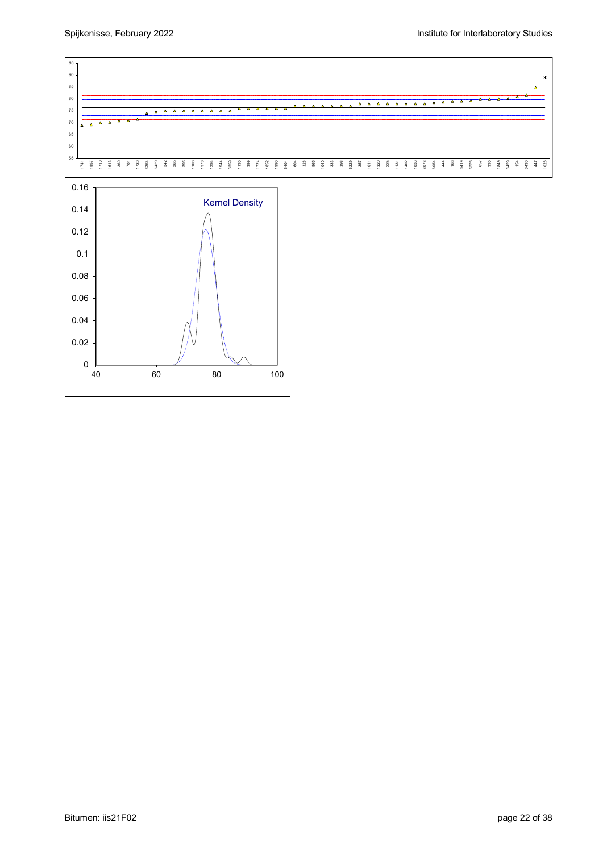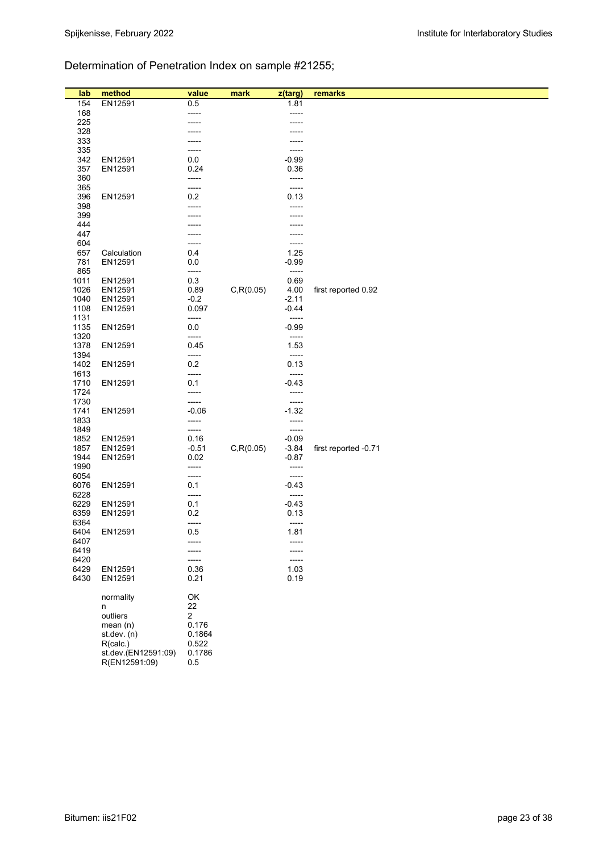# Determination of Penetration Index on sample #21255;

| lab          | method                   | value           | mark       | z(targ)          | remarks              |
|--------------|--------------------------|-----------------|------------|------------------|----------------------|
| 154          | EN12591                  | 0.5             |            | 1.81             |                      |
| 168          |                          | -----           |            | -----            |                      |
| 225          |                          |                 |            |                  |                      |
| 328<br>333   |                          |                 |            |                  |                      |
| 335          |                          | -----           |            | -----            |                      |
| 342          | EN12591                  | 0.0             |            | $-0.99$          |                      |
| 357          | EN12591                  | 0.24            |            | 0.36             |                      |
| 360<br>365   |                          | -----<br>-----  |            | -----<br>-----   |                      |
| 396          | EN12591                  | 0.2             |            | 0.13             |                      |
| 398          |                          | -----           |            | -----            |                      |
| 399          |                          |                 |            |                  |                      |
| 444          |                          |                 |            |                  |                      |
| 447<br>604   |                          | -----           |            | -----            |                      |
| 657          | Calculation              | 0.4             |            | 1.25             |                      |
| 781          | EN12591                  | 0.0             |            | $-0.99$          |                      |
| 865          |                          | -----           |            | -----            |                      |
| 1011<br>1026 | EN12591<br>EN12591       | 0.3<br>0.89     | C, R(0.05) | 0.69<br>4.00     | first reported 0.92  |
| 1040         | EN12591                  | $-0.2$          |            | $-2.11$          |                      |
| 1108         | EN12591                  | 0.097           |            | $-0.44$          |                      |
| 1131         |                          | -----           |            | -----            |                      |
| 1135<br>1320 | EN12591                  | 0.0<br>-----    |            | $-0.99$<br>----- |                      |
| 1378         | EN12591                  | 0.45            |            | 1.53             |                      |
| 1394         |                          | -----           |            | -----            |                      |
| 1402         | EN12591                  | 0.2             |            | 0.13             |                      |
| 1613<br>1710 | EN12591                  | -----<br>0.1    |            | -----<br>$-0.43$ |                      |
| 1724         |                          | -----           |            | -----            |                      |
| 1730         |                          | -----           |            | -----            |                      |
| 1741<br>1833 | EN12591                  | $-0.06$         |            | $-1.32$          |                      |
| 1849         |                          | -----<br>-----  |            | -----<br>-----   |                      |
| 1852         | EN12591                  | 0.16            |            | $-0.09$          |                      |
| 1857         | EN12591                  | $-0.51$         | C, R(0.05) | $-3.84$          | first reported -0.71 |
| 1944<br>1990 | EN12591                  | 0.02<br>-----   |            | $-0.87$<br>----- |                      |
| 6054         |                          | -----           |            | -----            |                      |
| 6076         | EN12591                  | 0.1             |            | $-0.43$          |                      |
| 6228         |                          | -----           |            | -----            |                      |
| 6229<br>6359 | EN12591<br>EN12591       | 0.1<br>0.2      |            | $-0.43$<br>0.13  |                      |
| 6364         |                          | -----           |            | $-----$          |                      |
| 6404         | EN12591                  | 0.5             |            | 1.81             |                      |
| 6407         |                          |                 |            |                  |                      |
| 6419<br>6420 |                          | -----           |            | -----<br>-----   |                      |
| 6429         | EN12591                  | 0.36            |            | 1.03             |                      |
| 6430         | EN12591                  | 0.21            |            | 0.19             |                      |
|              | normality                | OK              |            |                  |                      |
|              | n                        | 22              |            |                  |                      |
|              | outliers                 | $\overline{a}$  |            |                  |                      |
|              | mean $(n)$               | 0.176           |            |                  |                      |
|              | st. dev. (n)<br>R(calc.) | 0.1864<br>0.522 |            |                  |                      |
|              | st.dev.(EN12591:09)      | 0.1786          |            |                  |                      |
|              | R(EN12591:09)            | 0.5             |            |                  |                      |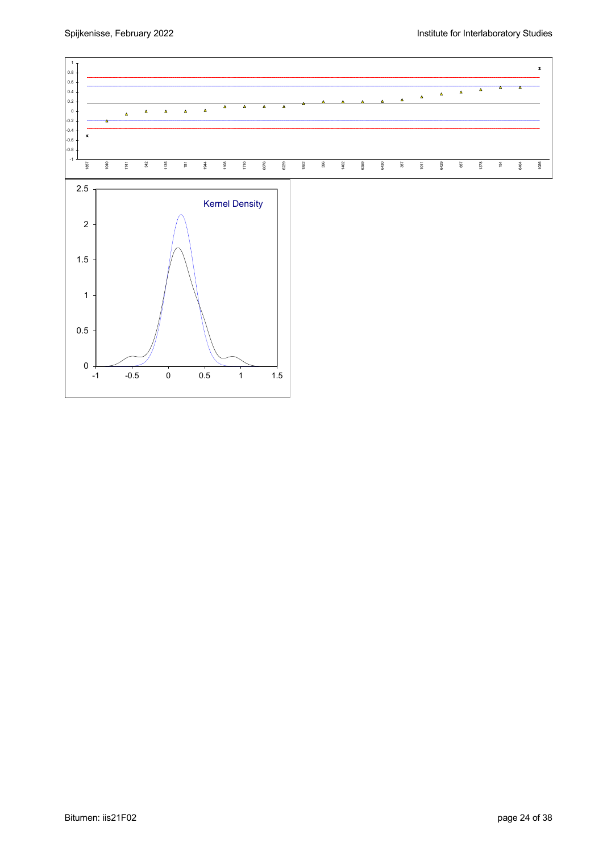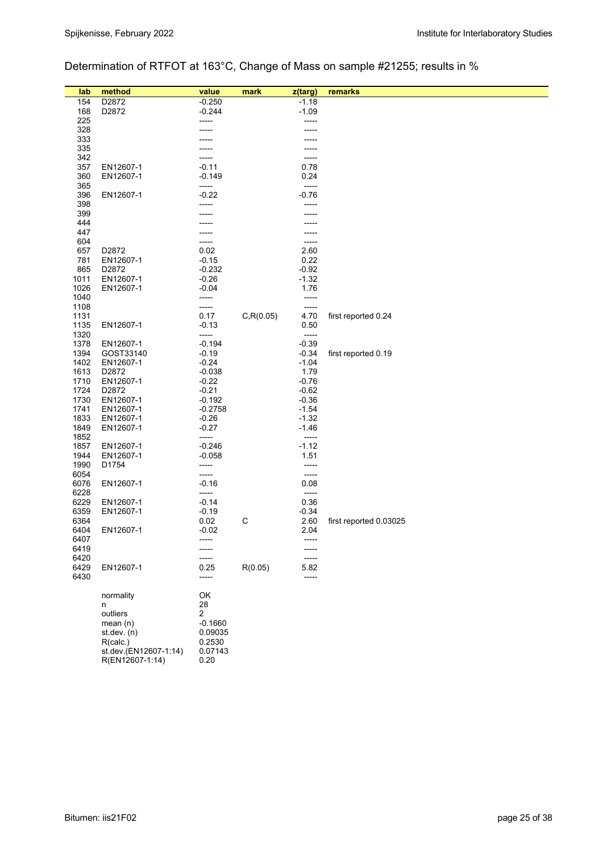# Determination of RTFOT at 163°C, Change of Mass on sample #21255; results in %

| lab          | method                | value              | mark       | z(targ)            | remarks                |
|--------------|-----------------------|--------------------|------------|--------------------|------------------------|
| 154          | D2872                 | $-0.250$           |            | $-1.18$            |                        |
| 168          | D2872                 | $-0.244$           |            | $-1.09$            |                        |
| 225          |                       | -----              |            | -----              |                        |
| 328          |                       |                    |            |                    |                        |
| 333          |                       |                    |            |                    |                        |
| 335          |                       |                    |            |                    |                        |
| 342          |                       | -----              |            |                    |                        |
| 357          | EN12607-1             | $-0.11$            |            | 0.78               |                        |
| 360          | EN12607-1             | $-0.149$           |            | 0.24               |                        |
| 365          |                       | -----              |            | -----              |                        |
| 396          | EN12607-1             | $-0.22$            |            | $-0.76$            |                        |
| 398          |                       |                    |            |                    |                        |
| 399          |                       |                    |            |                    |                        |
| 444          |                       |                    |            |                    |                        |
| 447          |                       |                    |            |                    |                        |
| 604          |                       |                    |            |                    |                        |
| 657          | D2872                 | 0.02               |            | 2.60               |                        |
| 781          | EN12607-1             | $-0.15$            |            | 0.22               |                        |
| 865          | D2872                 | $-0.232$           |            | $-0.92$            |                        |
| 1011         | EN12607-1             | $-0.26$            |            | $-1.32$            |                        |
| 1026         | EN12607-1             | $-0.04$            |            | 1.76               |                        |
| 1040         |                       | -----              |            | -----              |                        |
| 1108         |                       | -----              |            | -----              |                        |
| 1131         |                       | 0.17               | C, R(0.05) | 4.70               | first reported 0.24    |
| 1135         | EN12607-1             | $-0.13$            |            | 0.50               |                        |
| 1320         |                       | -----              |            | -----              |                        |
| 1378         | EN12607-1             | $-0.194$           |            | $-0.39$            |                        |
| 1394         | GOST33140             | $-0.19$            |            | $-0.34$            | first reported 0.19    |
| 1402         | EN12607-1             | $-0.24$            |            | $-1.04$            |                        |
| 1613         | D2872                 | $-0.038$           |            | 1.79               |                        |
| 1710         | EN12607-1             | $-0.22$            |            | $-0.76$            |                        |
| 1724         | D2872                 | $-0.21$            |            | $-0.62$            |                        |
| 1730         | EN12607-1             | $-0.192$           |            | $-0.36$            |                        |
| 1741         | EN12607-1             | $-0.2758$          |            | $-1.54$            |                        |
| 1833         | EN12607-1             | $-0.26$<br>$-0.27$ |            | $-1.32$<br>$-1.46$ |                        |
| 1849<br>1852 | EN12607-1             |                    |            |                    |                        |
| 1857         | EN12607-1             | -----<br>$-0.246$  |            | -----<br>$-1.12$   |                        |
| 1944         | EN12607-1             | $-0.058$           |            | 1.51               |                        |
| 1990         | D1754                 | -----              |            | -----              |                        |
| 6054         |                       | -----              |            | -----              |                        |
| 6076         | EN12607-1             | $-0.16$            |            | 0.08               |                        |
| 6228         |                       | -----              |            | -----              |                        |
| 6229         | EN12607-1             | $-0.14$            |            | 0.36               |                        |
| 6359         | EN12607-1             | $-0.19$            |            | $-0.34$            |                        |
| 6364         |                       | 0.02               | C          | 2.60               | first reported 0.03025 |
| 6404         | EN12607-1             | $-0.02$            |            | 2.04               |                        |
| 6407         |                       |                    |            |                    |                        |
| 6419         |                       |                    |            |                    |                        |
| 6420         |                       |                    |            |                    |                        |
| 6429         | EN12607-1             | 0.25               | R(0.05)    | 5.82               |                        |
| 6430         |                       | -----              |            | -----              |                        |
|              |                       |                    |            |                    |                        |
|              | normality             | OK                 |            |                    |                        |
|              | n                     | 28                 |            |                    |                        |
|              | outliers              | $\overline{2}$     |            |                    |                        |
|              | mean $(n)$            | $-0.1660$          |            |                    |                        |
|              | st.dev. $(n)$         | 0.09035            |            |                    |                        |
|              | R(calc.)              | 0.2530             |            |                    |                        |
|              | st.dev.(EN12607-1:14) | 0.07143            |            |                    |                        |
|              | R(EN12607-1:14)       | 0.20               |            |                    |                        |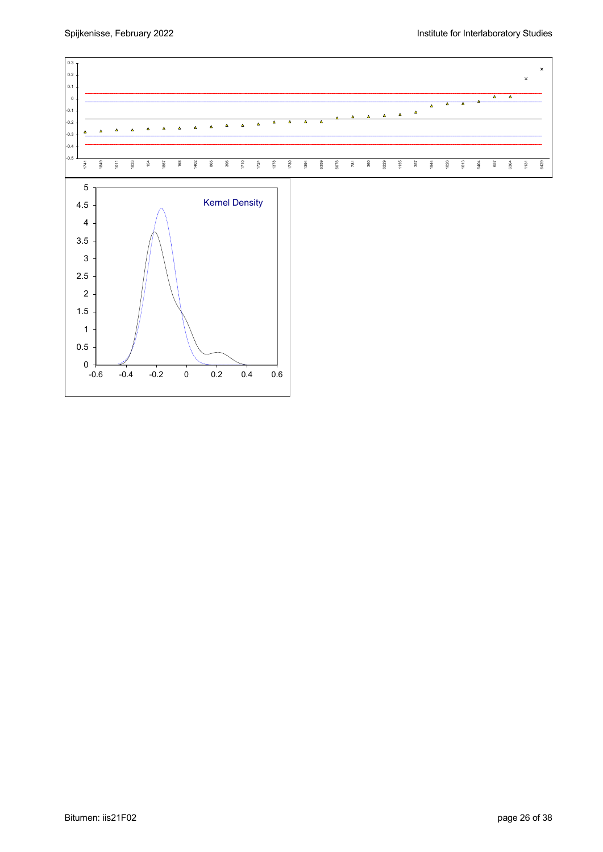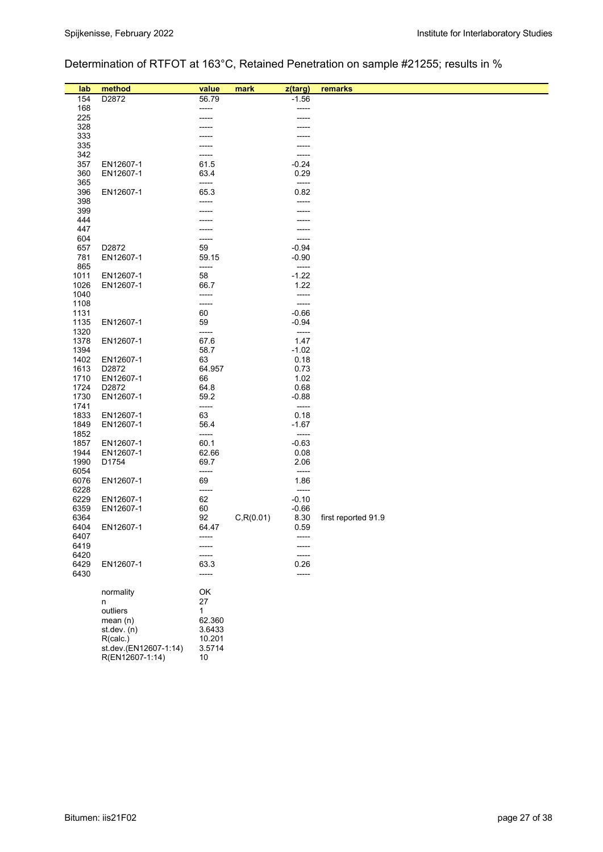## Determination of RTFOT at 163°C, Retained Penetration on sample #21255; results in %

| lab          | method                            | value            | mark       | z(targ)          | remarks             |
|--------------|-----------------------------------|------------------|------------|------------------|---------------------|
| 154          | D2872                             | 56.79            |            | $-1.56$          |                     |
| 168          |                                   | -----            |            | -----            |                     |
| 225          |                                   |                  |            |                  |                     |
| 328          |                                   |                  |            |                  |                     |
| 333          |                                   |                  |            |                  |                     |
| 335          |                                   |                  |            |                  |                     |
| 342          |                                   |                  |            | -----            |                     |
| 357          | EN12607-1                         | 61.5             |            | $-0.24$          |                     |
| 360          | EN12607-1                         | 63.4             |            | 0.29             |                     |
| 365          |                                   | -----            |            | -----            |                     |
| 396<br>398   | EN12607-1                         | 65.3             |            | 0.82<br>-----    |                     |
| 399          |                                   |                  |            |                  |                     |
| 444          |                                   |                  |            |                  |                     |
| 447          |                                   |                  |            |                  |                     |
| 604          |                                   | -----            |            | -----            |                     |
| 657          | D2872                             | 59               |            | $-0.94$          |                     |
| 781          | EN12607-1                         | 59.15            |            | $-0.90$          |                     |
| 865          |                                   | -----            |            | -----            |                     |
| 1011         | EN12607-1                         | 58               |            | $-1.22$          |                     |
| 1026         | EN12607-1                         | 66.7             |            | 1.22             |                     |
| 1040         |                                   | -----            |            |                  |                     |
| 1108         |                                   | -----            |            | -----            |                     |
| 1131         |                                   | 60               |            | $-0.66$          |                     |
| 1135         | EN12607-1                         | 59               |            | $-0.94$          |                     |
| 1320         |                                   | -----            |            | -----            |                     |
| 1378         | EN12607-1                         | 67.6             |            | 1.47             |                     |
| 1394<br>1402 |                                   | 58.7             |            | $-1.02$          |                     |
| 1613         | EN12607-1<br>D2872                | 63<br>64.957     |            | 0.18<br>0.73     |                     |
| 1710         | EN12607-1                         | 66               |            | 1.02             |                     |
| 1724         | D2872                             | 64.8             |            | 0.68             |                     |
| 1730         | EN12607-1                         | 59.2             |            | $-0.88$          |                     |
| 1741         |                                   | -----            |            | -----            |                     |
| 1833         | EN12607-1                         | 63               |            | 0.18             |                     |
| 1849         | EN12607-1                         | 56.4             |            | $-1.67$          |                     |
| 1852         |                                   | -----            |            | -----            |                     |
| 1857         | EN12607-1                         | 60.1             |            | $-0.63$          |                     |
| 1944         | EN12607-1                         | 62.66            |            | 0.08             |                     |
| 1990         | D1754                             | 69.7             |            | 2.06             |                     |
| 6054         |                                   | -----            |            | -----            |                     |
| 6076         | EN12607-1                         | 69               |            | 1.86             |                     |
| 6228<br>6229 |                                   | -----<br>62      |            | -----<br>$-0.10$ |                     |
| 6359         | EN12607-1<br>EN12607-1            | 60               |            | $-0.66$          |                     |
| 6364         |                                   | 92               | C, R(0.01) | 8.30             | first reported 91.9 |
| 6404         | EN12607-1                         | 64.47            |            | 0.59             |                     |
| 6407         |                                   |                  |            |                  |                     |
| 6419         |                                   |                  |            |                  |                     |
| 6420         |                                   |                  |            |                  |                     |
| 6429         | EN12607-1                         | 63.3             |            | 0.26             |                     |
| 6430         |                                   | -----            |            | -----            |                     |
|              |                                   |                  |            |                  |                     |
|              | normality                         | OK               |            |                  |                     |
|              | n                                 | 27               |            |                  |                     |
|              | outliers                          | 1                |            |                  |                     |
|              | mean(n)                           | 62.360           |            |                  |                     |
|              | st.dev. (n)                       | 3.6433           |            |                  |                     |
|              | R(calc.)<br>st.dev.(EN12607-1:14) | 10.201<br>3.5714 |            |                  |                     |
|              | R(EN12607-1:14)                   | 10               |            |                  |                     |
|              |                                   |                  |            |                  |                     |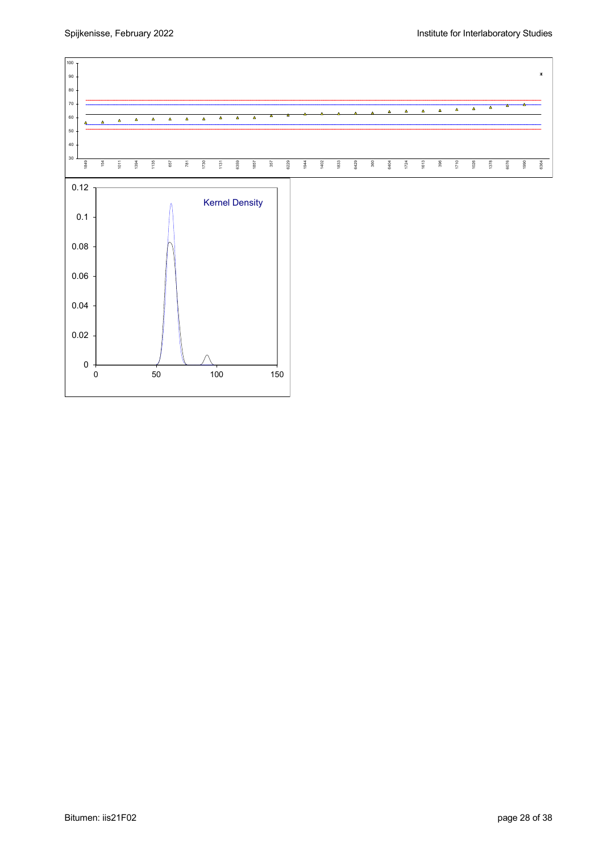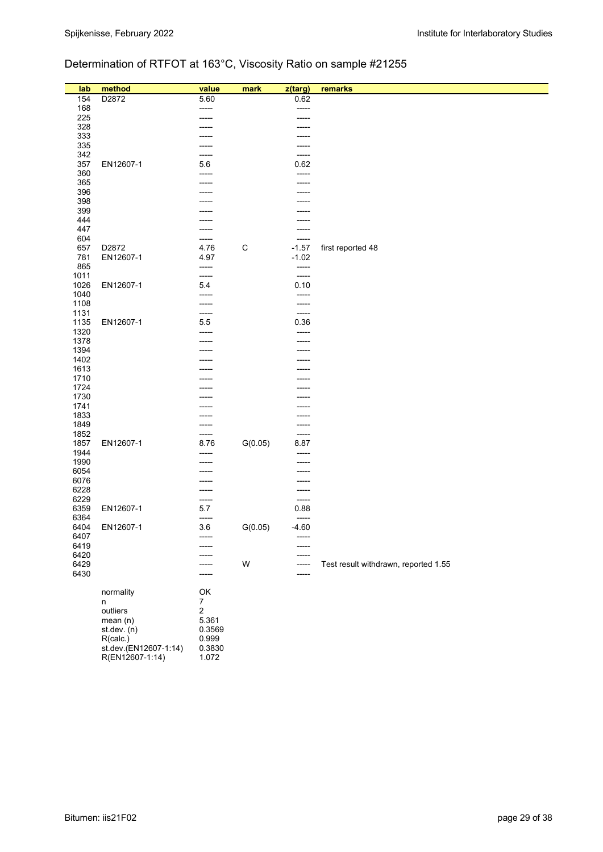# Determination of RTFOT at 163°C, Viscosity Ratio on sample #21255

| lab          | method                | value                              | mark        | z(targ)       | remarks                              |
|--------------|-----------------------|------------------------------------|-------------|---------------|--------------------------------------|
| 154          | D2872                 | 5.60                               |             | 0.62          |                                      |
| 168          |                       | -----                              |             | -----         |                                      |
| 225          |                       |                                    |             | -----         |                                      |
| 328          |                       |                                    |             |               |                                      |
| 333          |                       |                                    |             |               |                                      |
| 335          |                       | -----                              |             | -----         |                                      |
| 342          |                       | -----                              |             | -----         |                                      |
| 357          | EN12607-1             | 5.6                                |             | 0.62          |                                      |
| 360          |                       | -----                              |             | -----         |                                      |
| 365          |                       | -----                              |             | -----         |                                      |
| 396          |                       |                                    |             |               |                                      |
| 398<br>399   |                       |                                    |             |               |                                      |
| 444          |                       |                                    |             |               |                                      |
| 447          |                       |                                    |             |               |                                      |
| 604          |                       | -----                              |             | -----         |                                      |
| 657          | D2872                 | 4.76                               | $\mathsf C$ | $-1.57$       | first reported 48                    |
| 781          | EN12607-1             | 4.97                               |             | $-1.02$       |                                      |
| 865          |                       | -----                              |             | -----         |                                      |
| 1011         |                       | -----                              |             | -----         |                                      |
| 1026         | EN12607-1             | 5.4                                |             | 0.10          |                                      |
| 1040         |                       | -----                              |             | -----         |                                      |
| 1108         |                       | -----                              |             | -----         |                                      |
| 1131         |                       | -----                              |             | -----         |                                      |
| 1135         | EN12607-1             | 5.5                                |             | 0.36          |                                      |
| 1320         |                       |                                    |             | -----         |                                      |
| 1378         |                       | -----                              |             | -----         |                                      |
| 1394         |                       |                                    |             |               |                                      |
| 1402<br>1613 |                       |                                    |             |               |                                      |
| 1710         |                       |                                    |             |               |                                      |
| 1724         |                       |                                    |             |               |                                      |
| 1730         |                       |                                    |             |               |                                      |
| 1741         |                       |                                    |             |               |                                      |
| 1833         |                       |                                    |             |               |                                      |
| 1849         |                       | -----                              |             | -----         |                                      |
| 1852         |                       | -----                              |             | -----         |                                      |
| 1857         | EN12607-1             | 8.76                               | G(0.05)     | 8.87          |                                      |
| 1944         |                       | -----                              |             | -----         |                                      |
| 1990         |                       |                                    |             |               |                                      |
| 6054         |                       |                                    |             |               |                                      |
| 6076         |                       |                                    |             |               |                                      |
| 6228<br>6229 |                       | -----                              |             | -----         |                                      |
| 6359         | EN12607-1             | -----<br>5.7                       |             | -----<br>0.88 |                                      |
| 6364         |                       | -----                              |             | -----         |                                      |
| 6404         | EN12607-1             | 3.6                                | G(0.05)     | $-4.60$       |                                      |
| 6407         |                       |                                    |             |               |                                      |
| 6419         |                       |                                    |             |               |                                      |
| 6420         |                       |                                    |             |               |                                      |
| 6429         |                       |                                    | W           |               | Test result withdrawn, reported 1.55 |
| 6430         |                       |                                    |             |               |                                      |
|              |                       |                                    |             |               |                                      |
|              | normality             | OK                                 |             |               |                                      |
|              | n<br>outliers         | $\overline{7}$<br>$\boldsymbol{2}$ |             |               |                                      |
|              | mean(n)               | 5.361                              |             |               |                                      |
|              | st. dev. (n)          | 0.3569                             |             |               |                                      |
|              | R(calc.)              | 0.999                              |             |               |                                      |
|              | st.dev.(EN12607-1:14) | 0.3830                             |             |               |                                      |
|              | R(EN12607-1:14)       | 1.072                              |             |               |                                      |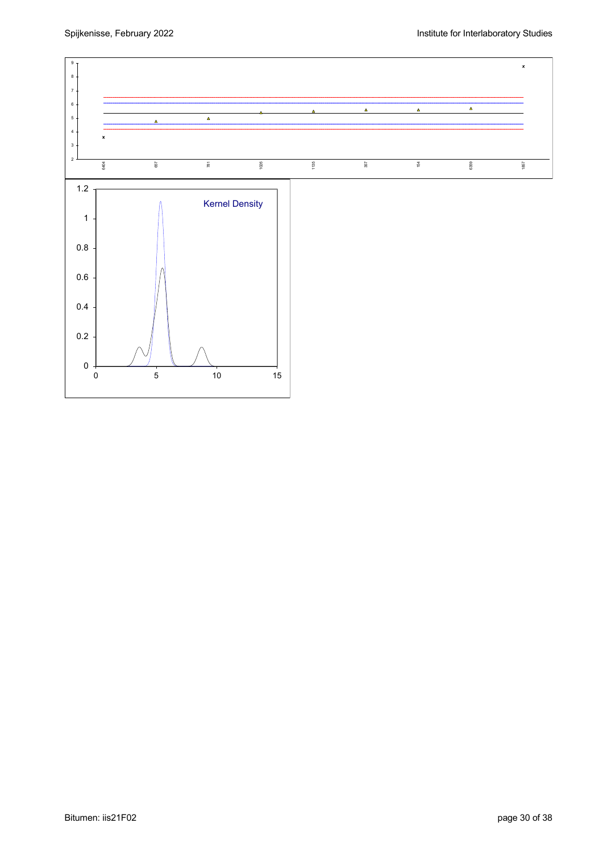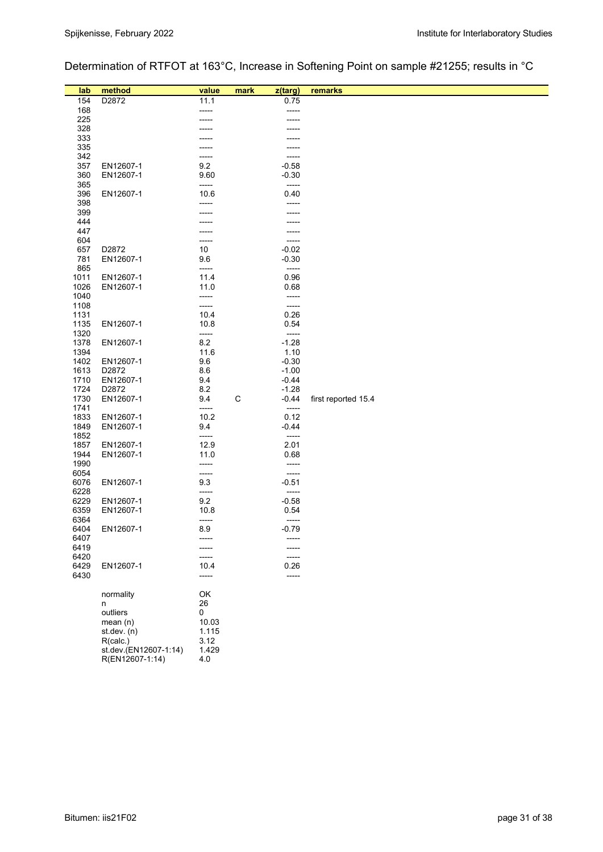# Determination of RTFOT at 163°C, Increase in Softening Point on sample #21255; results in °C

| lab          | method                | value        | mark | z(targ)            | remarks             |
|--------------|-----------------------|--------------|------|--------------------|---------------------|
| 154          | D2872                 | 11.1         |      | 0.75               |                     |
| 168          |                       |              |      |                    |                     |
| 225          |                       |              |      |                    |                     |
| 328          |                       |              |      |                    |                     |
| 333          |                       |              |      |                    |                     |
| 335          |                       |              |      |                    |                     |
| 342          |                       |              |      | -----              |                     |
| 357          | EN12607-1             | 9.2          |      | $-0.58$            |                     |
| 360          | EN12607-1             | 9.60         |      | $-0.30$            |                     |
| 365          |                       | -----        |      | -----              |                     |
| 396          | EN12607-1             | 10.6         |      | 0.40               |                     |
| 398          |                       | -----        |      | -----              |                     |
| 399          |                       |              |      |                    |                     |
| 444<br>447   |                       |              |      |                    |                     |
| 604          |                       | -----        |      | -----              |                     |
| 657          | D2872                 | 10           |      | $-0.02$            |                     |
| 781          | EN12607-1             | 9.6          |      | $-0.30$            |                     |
| 865          |                       | -----        |      | $-----$            |                     |
| 1011         | EN12607-1             | 11.4         |      | 0.96               |                     |
| 1026         | EN12607-1             | 11.0         |      | 0.68               |                     |
| 1040         |                       | -----        |      | -----              |                     |
| 1108         |                       | -----        |      | -----              |                     |
| 1131         |                       | 10.4         |      | 0.26               |                     |
| 1135         | EN12607-1             | 10.8         |      | 0.54               |                     |
| 1320         |                       | -----        |      | -----              |                     |
| 1378         | EN12607-1             | 8.2          |      | $-1.28$            |                     |
| 1394         |                       | 11.6         |      | 1.10               |                     |
| 1402         | EN12607-1             | 9.6          |      | $-0.30$            |                     |
| 1613<br>1710 | D2872<br>EN12607-1    | 8.6<br>9.4   |      | $-1.00$<br>$-0.44$ |                     |
| 1724         | D2872                 | 8.2          |      | $-1.28$            |                     |
| 1730         | EN12607-1             | 9.4          | C    | $-0.44$            | first reported 15.4 |
| 1741         |                       | -----        |      | $-----$            |                     |
| 1833         | EN12607-1             | 10.2         |      | 0.12               |                     |
| 1849         | EN12607-1             | 9.4          |      | $-0.44$            |                     |
| 1852         |                       | -----        |      | -----              |                     |
| 1857         | EN12607-1             | 12.9         |      | 2.01               |                     |
| 1944         | EN12607-1             | 11.0         |      | 0.68               |                     |
| 1990         |                       | -----        |      | -----              |                     |
| 6054         | EN12607-1             | -----        |      | -----              |                     |
| 6076<br>6228 |                       | 9.3<br>----- |      | $-0.51$<br>-----   |                     |
| 6229         | EN12607-1             | 9.2          |      | $-0.58$            |                     |
| 6359         | EN12607-1             | 10.8         |      | 0.54               |                     |
| 6364         |                       | -----        |      | -----              |                     |
| 6404         | EN12607-1             | 8.9          |      | $-0.79$            |                     |
| 6407         |                       |              |      |                    |                     |
| 6419         |                       |              |      |                    |                     |
| 6420         |                       |              |      |                    |                     |
| 6429         | EN12607-1             | 10.4         |      | 0.26               |                     |
| 6430         |                       | -----        |      | -----              |                     |
|              |                       |              |      |                    |                     |
|              | normality             | OK<br>26     |      |                    |                     |
|              | n<br>outliers         | 0            |      |                    |                     |
|              | mean(n)               | 10.03        |      |                    |                     |
|              | st.dev. $(n)$         | 1.115        |      |                    |                     |
|              | R(calc.)              | 3.12         |      |                    |                     |
|              | st.dev.(EN12607-1:14) | 1.429        |      |                    |                     |
|              | R(EN12607-1:14)       | 4.0          |      |                    |                     |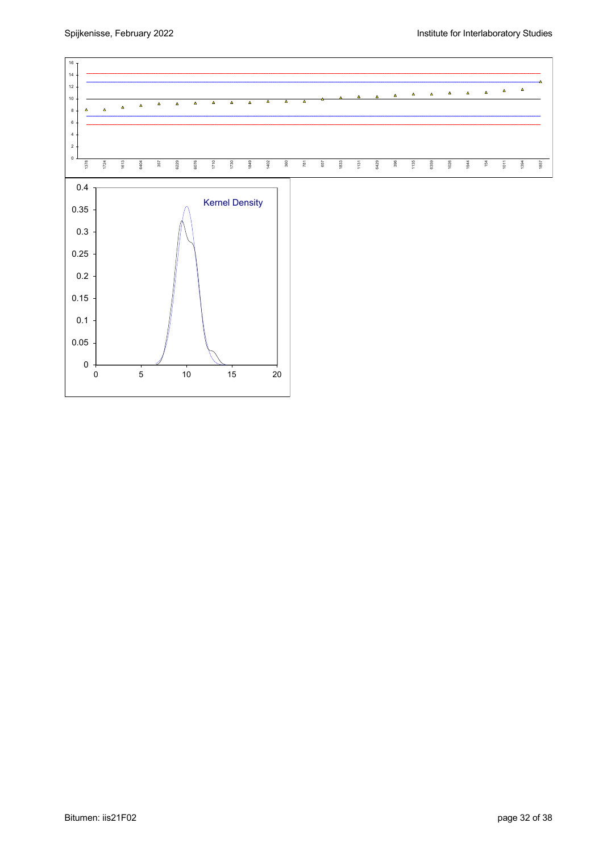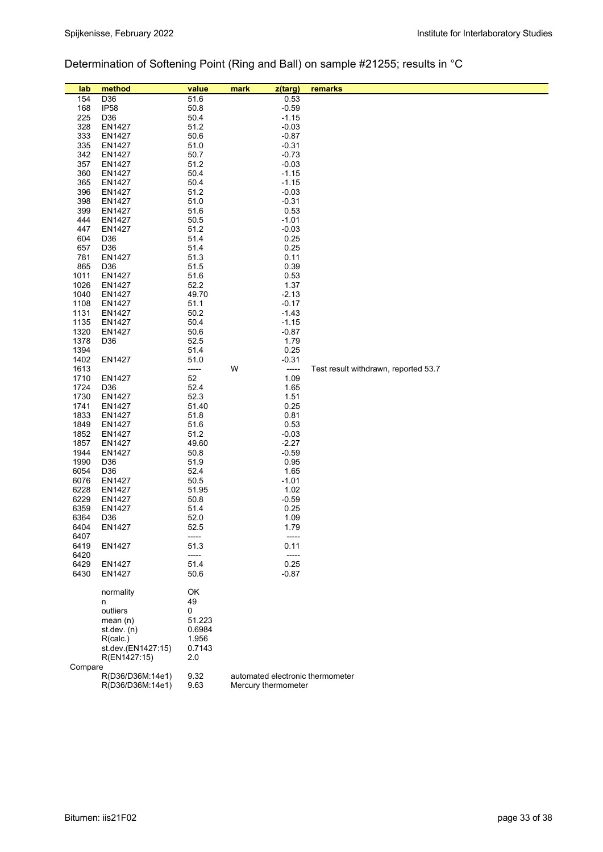# Determination of Softening Point (Ring and Ball) on sample #21255; results in °C

| lab          | method                         | value         | mark                | z(targ)         | remarks                              |
|--------------|--------------------------------|---------------|---------------------|-----------------|--------------------------------------|
| 154          | D36                            | 51.6          |                     | 0.53            |                                      |
| 168          | IP <sub>58</sub>               | 50.8          |                     | $-0.59$         |                                      |
| 225          | D36                            | 50.4          |                     | $-1.15$         |                                      |
| 328          | <b>EN1427</b>                  | 51.2          |                     | $-0.03$         |                                      |
| 333          | <b>EN1427</b>                  | 50.6          |                     | $-0.87$         |                                      |
| 335          | EN1427                         | 51.0          |                     | $-0.31$         |                                      |
| 342          | <b>EN1427</b>                  | 50.7          |                     | $-0.73$         |                                      |
| 357          | EN1427                         | 51.2          |                     | $-0.03$         |                                      |
| 360          | EN1427                         | 50.4          |                     | $-1.15$         |                                      |
| 365          | EN1427                         | 50.4          |                     | $-1.15$         |                                      |
| 396          | <b>EN1427</b>                  | 51.2          |                     | $-0.03$         |                                      |
| 398          | EN1427                         | 51.0          |                     | $-0.31$         |                                      |
| 399          | EN1427                         | 51.6          |                     | 0.53            |                                      |
| 444<br>447   | EN1427                         | 50.5          |                     | $-1.01$         |                                      |
| 604          | EN1427<br>D36                  | 51.2<br>51.4  |                     | $-0.03$         |                                      |
| 657          | D36                            | 51.4          |                     | 0.25<br>0.25    |                                      |
| 781          | <b>EN1427</b>                  | 51.3          |                     | 0.11            |                                      |
| 865          | D36                            | 51.5          |                     | 0.39            |                                      |
| 1011         | <b>EN1427</b>                  | 51.6          |                     | 0.53            |                                      |
| 1026         | EN1427                         | 52.2          |                     | 1.37            |                                      |
| 1040         | <b>EN1427</b>                  | 49.70         |                     | $-2.13$         |                                      |
| 1108         | EN1427                         | 51.1          |                     | $-0.17$         |                                      |
| 1131         | <b>EN1427</b>                  | 50.2          |                     | $-1.43$         |                                      |
| 1135         | EN1427                         | 50.4          |                     | $-1.15$         |                                      |
| 1320         | <b>EN1427</b>                  | 50.6          |                     | $-0.87$         |                                      |
| 1378         | D36                            | 52.5          |                     | 1.79            |                                      |
| 1394         |                                | 51.4          |                     | 0.25            |                                      |
| 1402         | EN1427                         | 51.0          |                     | $-0.31$         |                                      |
| 1613         |                                | -----         | W                   | -----           | Test result withdrawn, reported 53.7 |
| 1710         | <b>EN1427</b>                  | 52            |                     | 1.09            |                                      |
| 1724         | D36                            | 52.4          |                     | 1.65            |                                      |
| 1730         | <b>EN1427</b>                  | 52.3          |                     | 1.51            |                                      |
| 1741<br>1833 | <b>EN1427</b><br><b>EN1427</b> | 51.40<br>51.8 |                     | 0.25            |                                      |
| 1849         | EN1427                         | 51.6          |                     | 0.81<br>0.53    |                                      |
| 1852         | <b>EN1427</b>                  | 51.2          |                     | $-0.03$         |                                      |
| 1857         | <b>EN1427</b>                  | 49.60         |                     | $-2.27$         |                                      |
| 1944         | <b>EN1427</b>                  | 50.8          |                     | $-0.59$         |                                      |
| 1990         | D36                            | 51.9          |                     | 0.95            |                                      |
| 6054         | D36                            | 52.4          |                     | 1.65            |                                      |
| 6076         | EN1427                         | 50.5          |                     | $-1.01$         |                                      |
| 6228         | EN1427                         | 51.95         |                     | 1.02            |                                      |
| 6229         | EN1427                         | 50.8          |                     | $-0.59$         |                                      |
| 6359         | EN1427                         | 51.4          |                     | 0.25            |                                      |
| 6364         | D36                            | 52.0          |                     | 1.09            |                                      |
| 6404         | EN1427                         | 52.5          |                     | 1.79            |                                      |
| 6407         |                                | -----         |                     | -----           |                                      |
| 6419         | EN1427                         | 51.3          |                     | 0.11            |                                      |
| 6420         |                                | -----         |                     |                 |                                      |
| 6429<br>6430 | EN1427<br>EN1427               | 51.4<br>50.6  |                     | 0.25<br>$-0.87$ |                                      |
|              |                                |               |                     |                 |                                      |
|              | normality                      | OK            |                     |                 |                                      |
|              | n                              | 49            |                     |                 |                                      |
|              | outliers                       | 0             |                     |                 |                                      |
|              | mean $(n)$                     | 51.223        |                     |                 |                                      |
|              | st.dev. $(n)$                  | 0.6984        |                     |                 |                                      |
|              | R(calc.)                       | 1.956         |                     |                 |                                      |
|              | st.dev.(EN1427:15)             | 0.7143        |                     |                 |                                      |
|              | R(EN1427:15)                   | 2.0           |                     |                 |                                      |
| Compare      |                                |               |                     |                 |                                      |
|              | R(D36/D36M:14e1)               | 9.32          |                     |                 | automated electronic thermometer     |
|              | R(D36/D36M:14e1)               | 9.63          | Mercury thermometer |                 |                                      |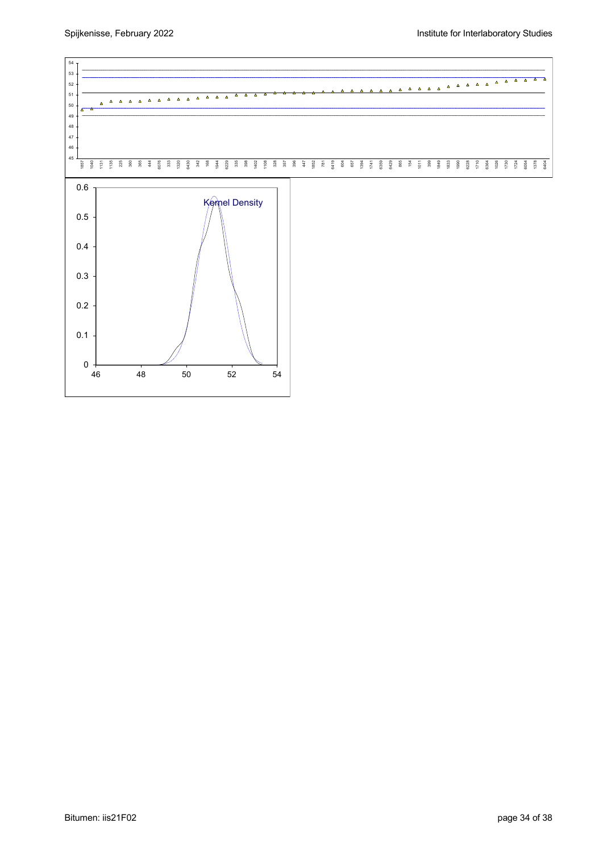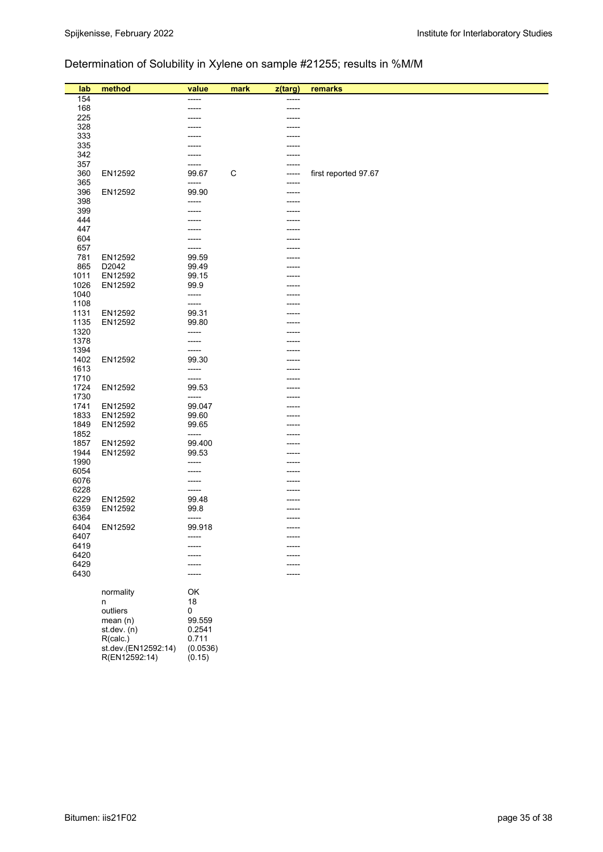# Determination of Solubility in Xylene on sample #21255; results in %M/M

| lab          | method              | value          | mark        | z(targ) | remarks              |
|--------------|---------------------|----------------|-------------|---------|----------------------|
| 154          |                     | -----          |             | -----   |                      |
| 168          |                     | -----          |             | -----   |                      |
| 225          |                     |                |             |         |                      |
| 328          |                     |                |             |         |                      |
| 333          |                     |                |             |         |                      |
| 335          |                     |                |             |         |                      |
| 342          |                     |                |             |         |                      |
| 357          |                     | -----          |             |         |                      |
| 360          | EN12592             | 99.67          | $\mathsf C$ | -----   | first reported 97.67 |
| 365          |                     | -----          |             | -----   |                      |
| 396          | EN12592             | 99.90          |             |         |                      |
| 398          |                     | -----          |             |         |                      |
| 399          |                     | -----          |             |         |                      |
| 444<br>447   |                     |                |             |         |                      |
| 604          |                     |                |             |         |                      |
| 657          |                     | -----          |             |         |                      |
| 781          | EN12592             | 99.59          |             |         |                      |
| 865          | D2042               | 99.49          |             |         |                      |
| 1011         | EN12592             | 99.15          |             |         |                      |
| 1026         | EN12592             | 99.9           |             |         |                      |
| 1040         |                     | -----          |             |         |                      |
| 1108         |                     | -----          |             |         |                      |
| 1131         | EN12592             | 99.31          |             |         |                      |
| 1135         | EN12592             | 99.80          |             |         |                      |
| 1320         |                     | -----          |             |         |                      |
| 1378         |                     | -----          |             |         |                      |
| 1394         |                     | -----          |             |         |                      |
| 1402         | EN12592             | 99.30          |             |         |                      |
| 1613<br>1710 |                     | -----<br>----- |             |         |                      |
| 1724         | EN12592             | 99.53          |             |         |                      |
| 1730         |                     | -----          |             |         |                      |
| 1741         | EN12592             | 99.047         |             |         |                      |
| 1833         | EN12592             | 99.60          |             |         |                      |
| 1849         | EN12592             | 99.65          |             |         |                      |
| 1852         |                     | -----          |             |         |                      |
| 1857         | EN12592             | 99.400         |             |         |                      |
| 1944         | EN12592             | 99.53          |             |         |                      |
| 1990         |                     | -----          |             |         |                      |
| 6054         |                     | -----          |             |         |                      |
| 6076         |                     | -----          |             |         |                      |
| 6228<br>6229 | EN12592             | -----<br>99.48 |             |         |                      |
| 6359         | EN12592             | 99.8           |             |         |                      |
| 6364         |                     | -----          |             |         |                      |
| 6404         | EN12592             | 99.918         |             | -----   |                      |
| 6407         |                     |                |             |         |                      |
| 6419         |                     |                |             |         |                      |
| 6420         |                     |                |             |         |                      |
| 6429         |                     |                |             |         |                      |
| 6430         |                     |                |             |         |                      |
|              |                     |                |             |         |                      |
|              | normality           | OK             |             |         |                      |
|              | n                   | 18             |             |         |                      |
|              | outliers<br>mean(n) | 0<br>99.559    |             |         |                      |
|              | st.dev. (n)         | 0.2541         |             |         |                      |
|              | R(calc.)            | 0.711          |             |         |                      |
|              | st.dev.(EN12592:14) | (0.0536)       |             |         |                      |
|              | R(EN12592:14)       | (0.15)         |             |         |                      |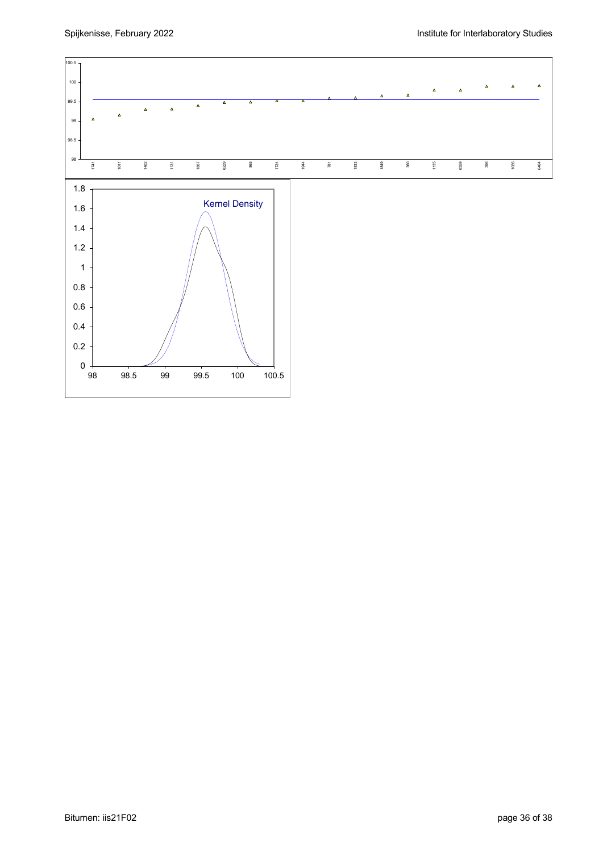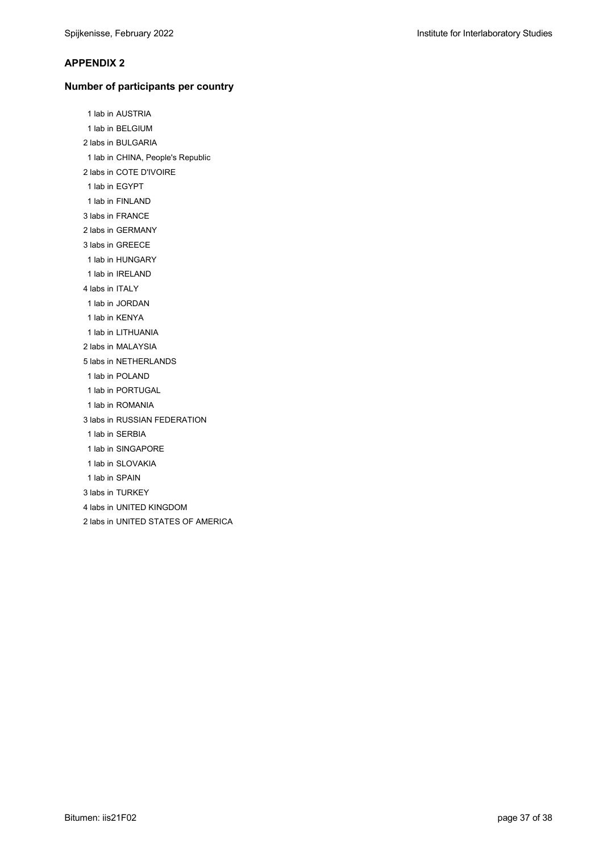#### **APPENDIX 2**

#### **Number of participants per country**

1 lab in AUSTRIA 1 lab in BELGIUM 2 labs in BULGARIA 1 lab in CHINA, People's Republic 2 labs in COTE D'IVOIRE 1 lab in EGYPT 1 lab in FINLAND 3 labs in FRANCE 2 labs in GERMANY 3 labs in GREECE 1 lab in HUNGARY 1 lab in IRELAND 4 labs in ITALY 1 lab in JORDAN 1 lab in KENYA 1 lab in LITHUANIA 2 labs in MALAYSIA 5 labs in NETHERLANDS 1 lab in POLAND 1 lab in PORTUGAL 1 lab in ROMANIA 3 labs in RUSSIAN FEDERATION 1 lab in SERBIA 1 lab in SINGAPORE 1 lab in SLOVAKIA 1 lab in SPAIN 3 labs in TURKEY 4 labs in UNITED KINGDOM 2 labs in UNITED STATES OF AMERICA